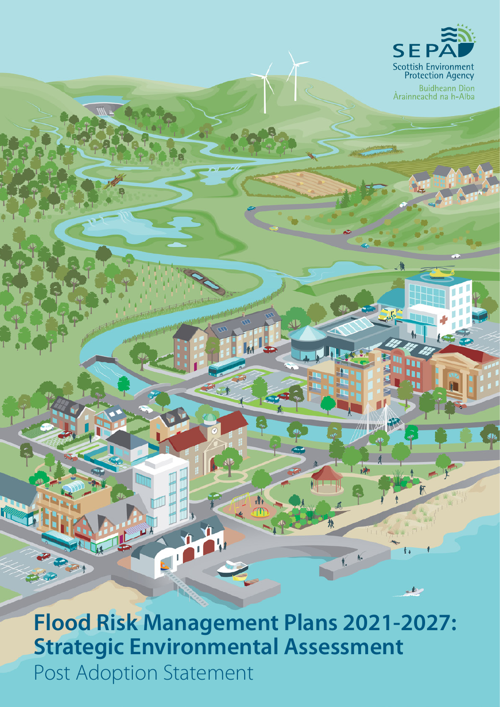

Buidheann Dìon<br>Àrainneachd na h-Alba

**Flood Risk Management Plans 2021-2027: Strategic Environmental Assessment** Post Adoption Statement

 $\boldsymbol{\Lambda}$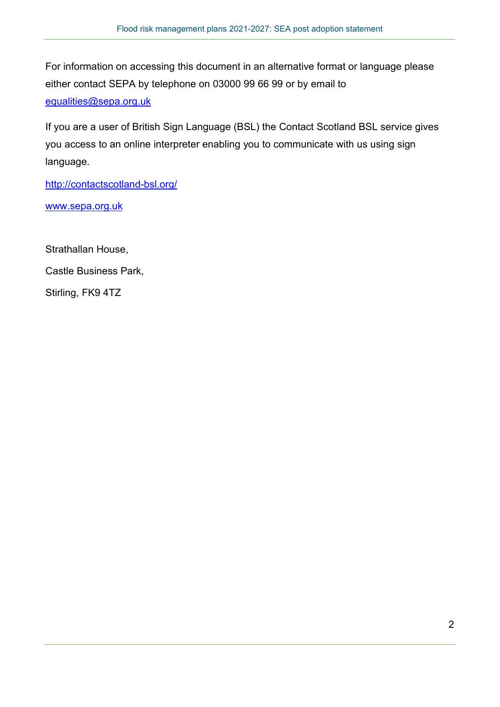For information on accessing this document in an alternative format or language please either contact SEPA by telephone on 03000 99 66 99 or by email to [equalities@sepa.org.uk](mailto:equalities@sepa.org.uk)

If you are a user of British Sign Language (BSL) the Contact Scotland BSL service gives you access to an online interpreter enabling you to communicate with us using sign language.

<http://contactscotland-bsl.org/>

[www.sepa.org.uk](http://www.sepa.org.uk/)

Strathallan House, Castle Business Park, Stirling, FK9 4TZ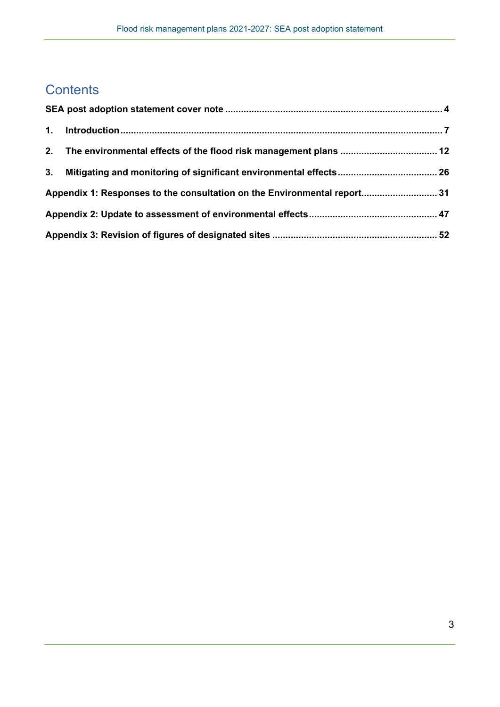## **Contents**

|    | 2. The environmental effects of the flood risk management plans  12      |  |  |
|----|--------------------------------------------------------------------------|--|--|
| 3. |                                                                          |  |  |
|    | Appendix 1: Responses to the consultation on the Environmental report 31 |  |  |
|    |                                                                          |  |  |
|    |                                                                          |  |  |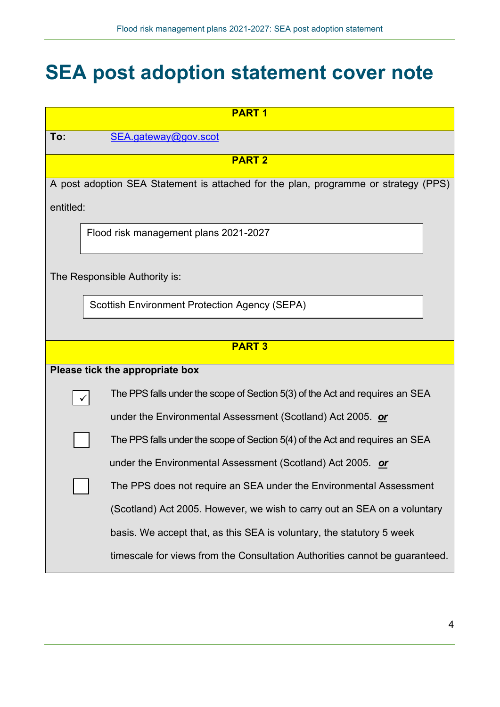## **SEA post adoption statement cover note**

| <b>PART1</b> |                                                                                     |  |  |  |
|--------------|-------------------------------------------------------------------------------------|--|--|--|
| To:          | SEA.gateway@gov.scot                                                                |  |  |  |
|              | <b>PART 2</b>                                                                       |  |  |  |
|              | A post adoption SEA Statement is attached for the plan, programme or strategy (PPS) |  |  |  |
| entitled:    |                                                                                     |  |  |  |
|              | Flood risk management plans 2021-2027                                               |  |  |  |
|              | The Responsible Authority is:                                                       |  |  |  |
|              | <b>Scottish Environment Protection Agency (SEPA)</b>                                |  |  |  |
|              |                                                                                     |  |  |  |
|              | <b>PART3</b>                                                                        |  |  |  |
|              | Please tick the appropriate box                                                     |  |  |  |
|              | The PPS falls under the scope of Section 5(3) of the Act and requires an SEA        |  |  |  |
|              | under the Environmental Assessment (Scotland) Act 2005. or                          |  |  |  |
|              | The PPS falls under the scope of Section 5(4) of the Act and requires an SEA        |  |  |  |
|              | under the Environmental Assessment (Scotland) Act 2005. or                          |  |  |  |
|              | The PPS does not require an SEA under the Environmental Assessment                  |  |  |  |
|              | (Scotland) Act 2005. However, we wish to carry out an SEA on a voluntary            |  |  |  |
|              | basis. We accept that, as this SEA is voluntary, the statutory 5 week               |  |  |  |
|              | timescale for views from the Consultation Authorities cannot be guaranteed.         |  |  |  |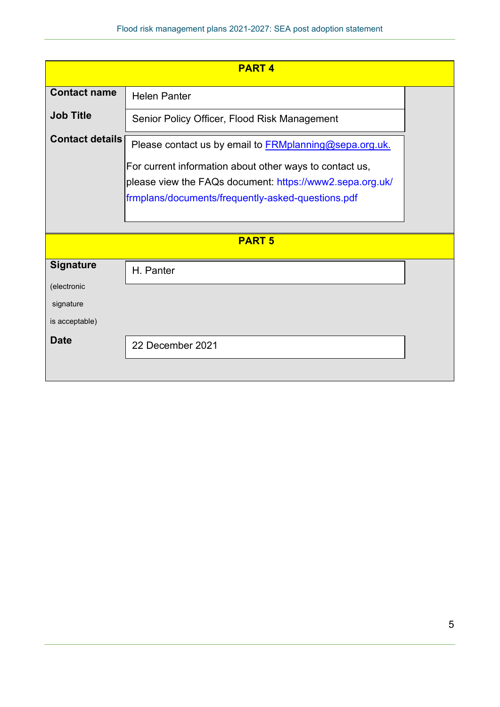| <b>PART4</b>           |                                                               |  |  |  |
|------------------------|---------------------------------------------------------------|--|--|--|
| <b>Contact name</b>    | <b>Helen Panter</b>                                           |  |  |  |
| <b>Job Title</b>       | Senior Policy Officer, Flood Risk Management                  |  |  |  |
| <b>Contact details</b> | Please contact us by email to <b>FRMplanning@sepa.org.uk.</b> |  |  |  |
|                        | For current information about other ways to contact us,       |  |  |  |
|                        | please view the FAQs document: https://www2.sepa.org.uk/      |  |  |  |
|                        | frmplans/documents/frequently-asked-questions.pdf             |  |  |  |
|                        |                                                               |  |  |  |
|                        |                                                               |  |  |  |
|                        | <b>PART 5</b>                                                 |  |  |  |
| <b>Signature</b>       | H. Panter                                                     |  |  |  |
| (electronic            |                                                               |  |  |  |
| signature              |                                                               |  |  |  |
| is acceptable)         |                                                               |  |  |  |
| Date                   | 22 December 2021                                              |  |  |  |
|                        |                                                               |  |  |  |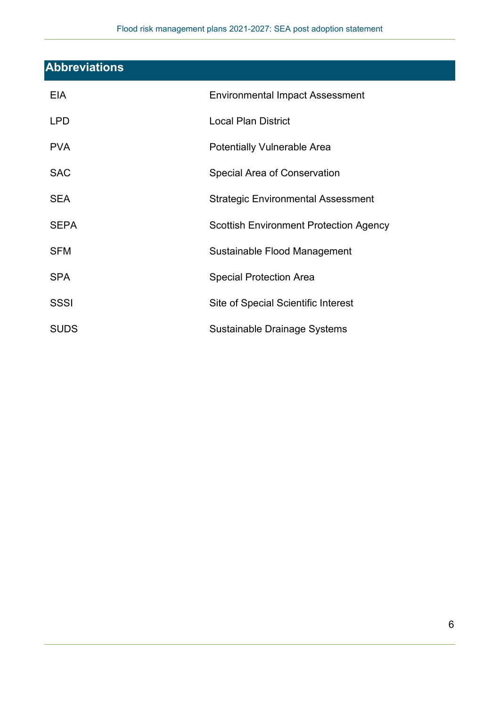| <b>Abbreviations</b> |                                               |
|----------------------|-----------------------------------------------|
| <b>EIA</b>           | <b>Environmental Impact Assessment</b>        |
| <b>LPD</b>           | <b>Local Plan District</b>                    |
| <b>PVA</b>           | <b>Potentially Vulnerable Area</b>            |
| <b>SAC</b>           | Special Area of Conservation                  |
| <b>SEA</b>           | <b>Strategic Environmental Assessment</b>     |
| <b>SEPA</b>          | <b>Scottish Environment Protection Agency</b> |
| <b>SFM</b>           | Sustainable Flood Management                  |
| <b>SPA</b>           | <b>Special Protection Area</b>                |
| <b>SSSI</b>          | Site of Special Scientific Interest           |
| <b>SUDS</b>          | Sustainable Drainage Systems                  |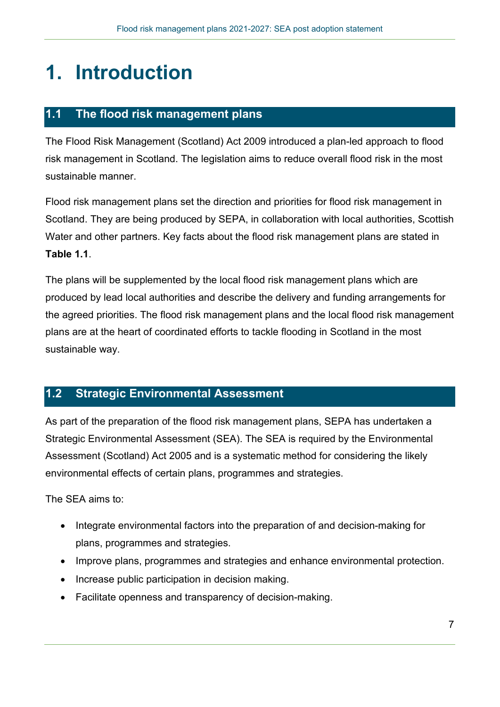# **1. Introduction**

## **1.1 The flood risk management plans**

The Flood Risk Management (Scotland) Act 2009 introduced a plan-led approach to flood risk management in Scotland. The legislation aims to reduce overall flood risk in the most sustainable manner.

Flood risk management plans set the direction and priorities for flood risk management in Scotland. They are being produced by SEPA, in collaboration with local authorities, Scottish Water and other partners. Key facts about the flood risk management plans are stated in **Table 1.1**.

The plans will be supplemented by the local flood risk management plans which are produced by lead local authorities and describe the delivery and funding arrangements for the agreed priorities. The flood risk management plans and the local flood risk management plans are at the heart of coordinated efforts to tackle flooding in Scotland in the most sustainable way.

## **1.2 Strategic Environmental Assessment**

As part of the preparation of the flood risk management plans, SEPA has undertaken a Strategic Environmental Assessment (SEA). The SEA is required by the Environmental Assessment (Scotland) Act 2005 and is a systematic method for considering the likely environmental effects of certain plans, programmes and strategies.

The SEA aims to:

- Integrate environmental factors into the preparation of and decision-making for plans, programmes and strategies.
- Improve plans, programmes and strategies and enhance environmental protection.
- Increase public participation in decision making.
- Facilitate openness and transparency of decision-making.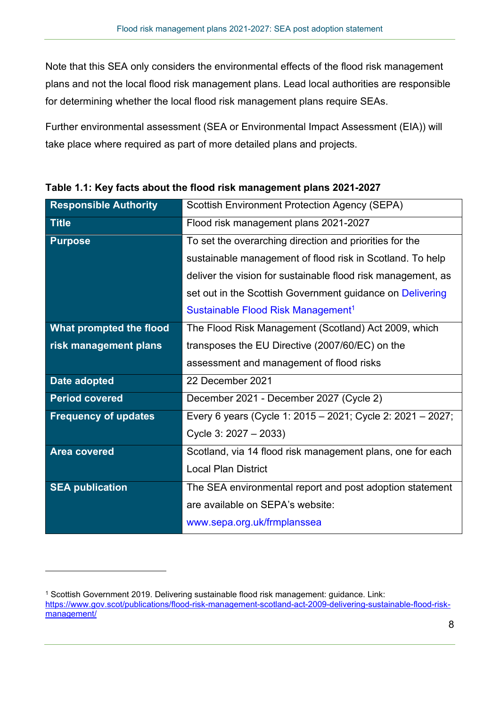Note that this SEA only considers the environmental effects of the flood risk management plans and not the local flood risk management plans. Lead local authorities are responsible for determining whether the local flood risk management plans require SEAs.

Further environmental assessment (SEA or Environmental Impact Assessment (EIA)) will take place where required as part of more detailed plans and projects.

| <b>Responsible Authority</b>   | <b>Scottish Environment Protection Agency (SEPA)</b>         |
|--------------------------------|--------------------------------------------------------------|
| <b>Title</b>                   | Flood risk management plans 2021-2027                        |
| <b>Purpose</b>                 | To set the overarching direction and priorities for the      |
|                                | sustainable management of flood risk in Scotland. To help    |
|                                | deliver the vision for sustainable flood risk management, as |
|                                | set out in the Scottish Government guidance on Delivering    |
|                                | Sustainable Flood Risk Management <sup>1</sup>               |
| <b>What prompted the flood</b> | The Flood Risk Management (Scotland) Act 2009, which         |
| risk management plans          | transposes the EU Directive (2007/60/EC) on the              |
|                                | assessment and management of flood risks                     |
| Date adopted                   | 22 December 2021                                             |
| <b>Period covered</b>          | December 2021 - December 2027 (Cycle 2)                      |
| <b>Frequency of updates</b>    | Every 6 years (Cycle 1: 2015 - 2021; Cycle 2: 2021 - 2027;   |
|                                | Cycle 3: 2027 - 2033)                                        |
| <b>Area covered</b>            | Scotland, via 14 flood risk management plans, one for each   |
|                                | <b>Local Plan District</b>                                   |
| <b>SEA publication</b>         | The SEA environmental report and post adoption statement     |
|                                | are available on SEPA's website:                             |
|                                | wwwG.sepa.org.uk/frmplanssea                                 |

**Table 1.1: Key facts about the flood risk management plans 2021-2027**

<span id="page-7-0"></span><sup>1</sup> Scottish Government 2019. Delivering sustainable flood risk management: guidance. Link: [https://www.gov.scot/publications/flood-risk-management-scotland-act-2009-delivering-sustainable-flood-risk](https://www.gov.scot/publications/flood-risk-management-scotland-act-2009-delivering-sustainable-flood-risk-management/)[management/](https://www.gov.scot/publications/flood-risk-management-scotland-act-2009-delivering-sustainable-flood-risk-management/)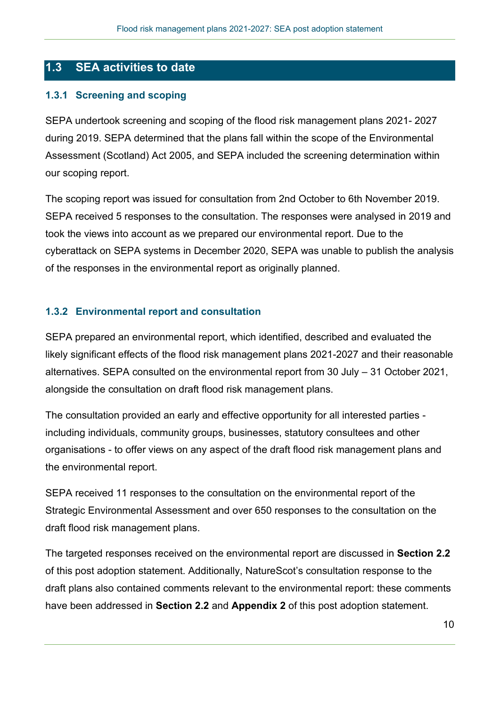## **1.3 SEA activities to date**

#### **1.3.1 Screening and scoping**

SEPA undertook screening and scoping of the flood risk management plans 2021- 2027 during 2019. SEPA determined that the plans fall within the scope of the Environmental Assessment (Scotland) Act 2005, and SEPA included the screening determination within our scoping report.

The scoping report was issued for consultation from 2nd October to 6th November 2019. SEPA received 5 responses to the consultation. The responses were analysed in 2019 and took the views into account as we prepared our environmental report. Due to the cyberattack on SEPA systems in December 2020, SEPA was unable to publish the analysis of the responses in the environmental report as originally planned.

#### **1.3.2 Environmental report and consultation**

SEPA prepared an environmental report, which identified, described and evaluated the likely significant effects of the flood risk management plans 2021-2027 and their reasonable alternatives. SEPA consulted on the environmental report from 30 July – 31 October 2021, alongside the consultation on draft flood risk management plans.

The consultation provided an early and effective opportunity for all interested parties including individuals, community groups, businesses, statutory consultees and other organisations - to offer views on any aspect of the draft flood risk management plans and the environmental report.

SEPA received 11 responses to the consultation on the environmental report of the Strategic Environmental Assessment and over 650 responses to the consultation on the draft flood risk management plans.

The targeted responses received on the environmental report are discussed in **Section 2.2** of this post adoption statement. Additionally, NatureScot's consultation response to the draft plans also contained comments relevant to the environmental report: these comments have been addressed in **Section 2.2** and **Appendix 2** of this post adoption statement.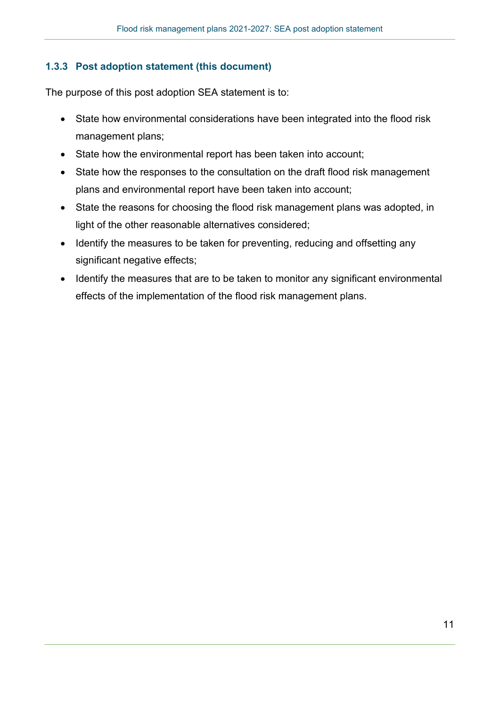### **1.3.3 Post adoption statement (this document)**

The purpose of this post adoption SEA statement is to:

- State how environmental considerations have been integrated into the flood risk management plans;
- State how the environmental report has been taken into account;
- State how the responses to the consultation on the draft flood risk management plans and environmental report have been taken into account;
- State the reasons for choosing the flood risk management plans was adopted, in light of the other reasonable alternatives considered;
- Identify the measures to be taken for preventing, reducing and offsetting any significant negative effects;
- Identify the measures that are to be taken to monitor any significant environmental effects of the implementation of the flood risk management plans.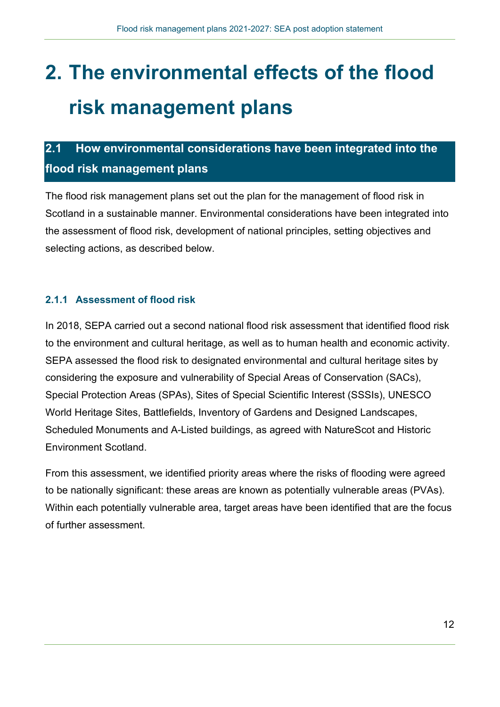# **2. The environmental effects of the flood risk management plans**

## **2.1 How environmental considerations have been integrated into the flood risk management plans**

The flood risk management plans set out the plan for the management of flood risk in Scotland in a sustainable manner. Environmental considerations have been integrated into the assessment of flood risk, development of national principles, setting objectives and selecting actions, as described below.

## **2.1.1 Assessment of flood risk**

In 2018, SEPA carried out a second national flood risk assessment that identified flood risk to the environment and cultural heritage, as well as to human health and economic activity. SEPA assessed the flood risk to designated environmental and cultural heritage sites by considering the exposure and vulnerability of Special Areas of Conservation (SACs), Special Protection Areas (SPAs), Sites of Special Scientific Interest (SSSIs), UNESCO World Heritage Sites, Battlefields, Inventory of Gardens and Designed Landscapes, Scheduled Monuments and A-Listed buildings, as agreed with NatureScot and Historic Environment Scotland.

From this assessment, we identified priority areas where the risks of flooding were agreed to be nationally significant: these areas are known as potentially vulnerable areas (PVAs). Within each potentially vulnerable area, target areas have been identified that are the focus of further assessment.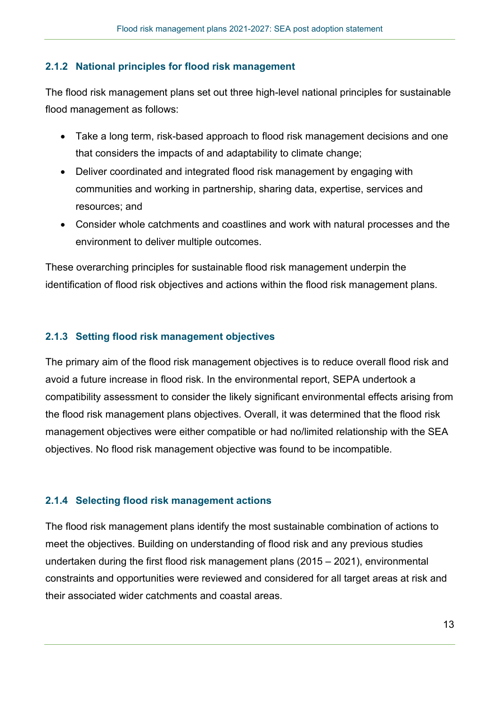### **2.1.2 National principles for flood risk management**

The flood risk management plans set out three high-level national principles for sustainable flood management as follows:

- Take a long term, risk-based approach to flood risk management decisions and one that considers the impacts of and adaptability to climate change;
- Deliver coordinated and integrated flood risk management by engaging with communities and working in partnership, sharing data, expertise, services and resources; and
- Consider whole catchments and coastlines and work with natural processes and the environment to deliver multiple outcomes.

These overarching principles for sustainable flood risk management underpin the identification of flood risk objectives and actions within the flood risk management plans.

#### **2.1.3 Setting flood risk management objectives**

The primary aim of the flood risk management objectives is to reduce overall flood risk and avoid a future increase in flood risk. In the environmental report, SEPA undertook a compatibility assessment to consider the likely significant environmental effects arising from the flood risk management plans objectives. Overall, it was determined that the flood risk management objectives were either compatible or had no/limited relationship with the SEA objectives. No flood risk management objective was found to be incompatible.

#### **2.1.4 Selecting flood risk management actions**

The flood risk management plans identify the most sustainable combination of actions to meet the objectives. Building on understanding of flood risk and any previous studies undertaken during the first flood risk management plans (2015 – 2021), environmental constraints and opportunities were reviewed and considered for all target areas at risk and their associated wider catchments and coastal areas.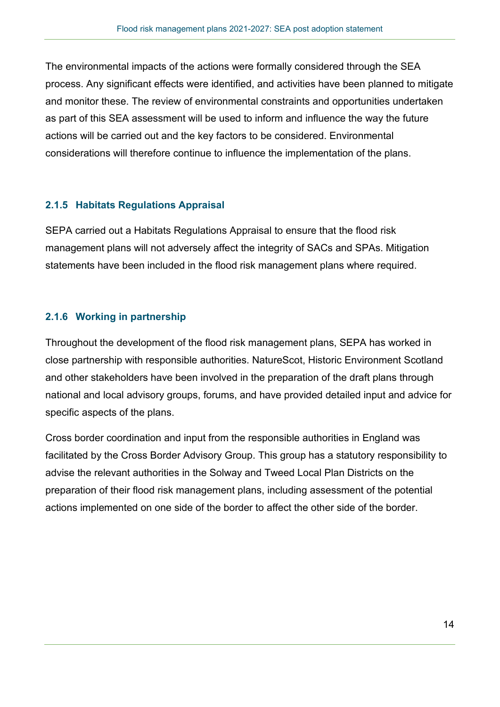The environmental impacts of the actions were formally considered through the SEA process. Any significant effects were identified, and activities have been planned to mitigate and monitor these. The review of environmental constraints and opportunities undertaken as part of this SEA assessment will be used to inform and influence the way the future actions will be carried out and the key factors to be considered. Environmental considerations will therefore continue to influence the implementation of the plans.

#### **2.1.5 Habitats Regulations Appraisal**

SEPA carried out a Habitats Regulations Appraisal to ensure that the flood risk management plans will not adversely affect the integrity of SACs and SPAs. Mitigation statements have been included in the flood risk management plans where required.

### **2.1.6 Working in partnership**

Throughout the development of the flood risk management plans, SEPA has worked in close partnership with responsible authorities. NatureScot, Historic Environment Scotland and other stakeholders have been involved in the preparation of the draft plans through national and local advisory groups, forums, and have provided detailed input and advice for specific aspects of the plans.

Cross border coordination and input from the responsible authorities in England was facilitated by the Cross Border Advisory Group. This group has a statutory responsibility to advise the relevant authorities in the Solway and Tweed Local Plan Districts on the preparation of their flood risk management plans, including assessment of the potential actions implemented on one side of the border to affect the other side of the border.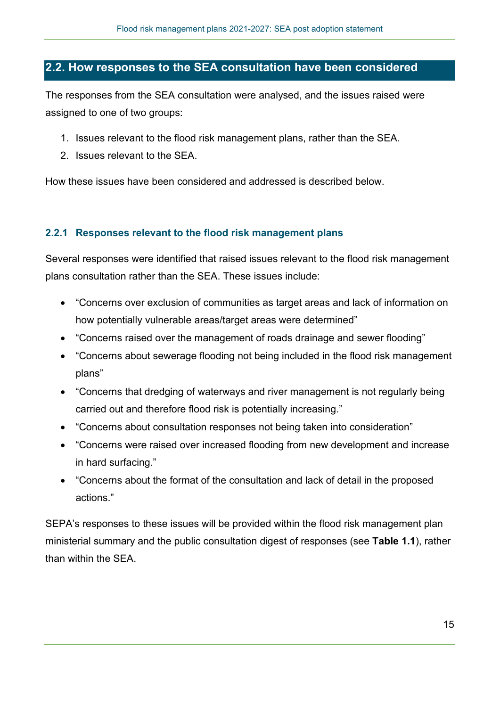## **2.2. How responses to the SEA consultation have been considered**

The responses from the SEA consultation were analysed, and the issues raised were assigned to one of two groups:

- 1. Issues relevant to the flood risk management plans, rather than the SEA.
- 2. Issues relevant to the SEA.

How these issues have been considered and addressed is described below.

#### **2.2.1 Responses relevant to the flood risk management plans**

Several responses were identified that raised issues relevant to the flood risk management plans consultation rather than the SEA. These issues include:

- "Concerns over exclusion of communities as target areas and lack of information on how potentially vulnerable areas/target areas were determined"
- "Concerns raised over the management of roads drainage and sewer flooding"
- "Concerns about sewerage flooding not being included in the flood risk management plans"
- "Concerns that dredging of waterways and river management is not regularly being carried out and therefore flood risk is potentially increasing."
- "Concerns about consultation responses not being taken into consideration"
- "Concerns were raised over increased flooding from new development and increase in hard surfacing."
- "Concerns about the format of the consultation and lack of detail in the proposed actions."

SEPA's responses to these issues will be provided within the flood risk management plan ministerial summary and the public consultation digest of responses (see **Table 1.1**), rather than within the SEA.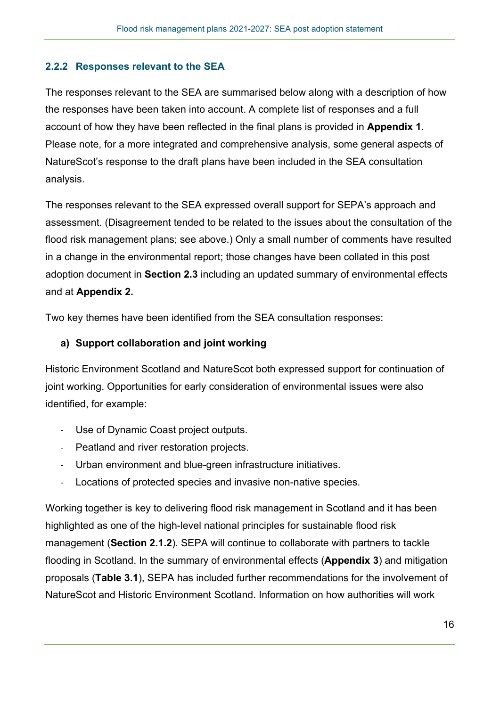### **2.2.2 Responses relevant to the SEA**

The responses relevant to the SEA are summarised below along with a description of how the responses have been taken into account. A complete list of responses and a full account of how they have been reflected in the final plans is provided in **Appendix 1**. Please note, for a more integrated and comprehensive analysis, some general aspects of NatureScot's response to the draft plans have been included in the SEA consultation analysis.

The responses relevant to the SEA expressed overall support for SEPA's approach and assessment. (Disagreement tended to be related to the issues about the consultation of the flood risk management plans; see above.) Only a small number of comments have resulted in a change in the environmental report; those changes have been collated in this post adoption document in **Section 2.3** including an updated summary of environmental effects and at **Appendix 2.**

Two key themes have been identified from the SEA consultation responses:

#### **a) Support collaboration and joint working**

Historic Environment Scotland and NatureScot both expressed support for continuation of joint working. Opportunities for early consideration of environmental issues were also identified, for example:

- Use of Dynamic Coast project outputs.
- Peatland and river restoration projects.
- Urban environment and blue-green infrastructure initiatives.
- Locations of protected species and invasive non-native species.

Working together is key to delivering flood risk management in Scotland and it has been highlighted as one of the high-level national principles for sustainable flood risk management (**Section 2.1.2**). SEPA will continue to collaborate with partners to tackle flooding in Scotland. In the summary of environmental effects (**Appendix 3**) and mitigation proposals (**Table 3.1**), SEPA has included further recommendations for the involvement of NatureScot and Historic Environment Scotland. Information on how authorities will work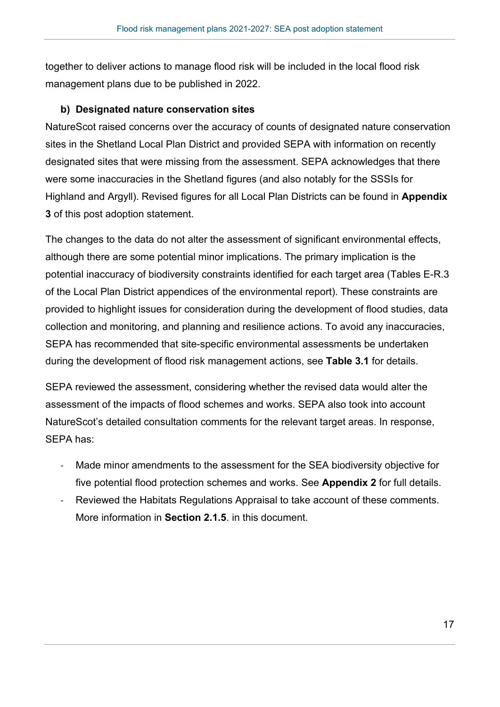together to deliver actions to manage flood risk will be included in the local flood risk management plans due to be published in 2022.

#### **b) Designated nature conservation sites**

NatureScot raised concerns over the accuracy of counts of designated nature conservation sites in the Shetland Local Plan District and provided SEPA with information on recently designated sites that were missing from the assessment. SEPA acknowledges that there were some inaccuracies in the Shetland figures (and also notably for the SSSIs for Highland and Argyll). Revised figures for all Local Plan Districts can be found in **Appendix 3** of this post adoption statement.

The changes to the data do not alter the assessment of significant environmental effects, although there are some potential minor implications. The primary implication is the potential inaccuracy of biodiversity constraints identified for each target area (Tables E-R.3 of the Local Plan District appendices of the environmental report). These constraints are provided to highlight issues for consideration during the development of flood studies, data collection and monitoring, and planning and resilience actions. To avoid any inaccuracies, SEPA has recommended that site-specific environmental assessments be undertaken during the development of flood risk management actions, see **Table 3.1** for details.

SEPA reviewed the assessment, considering whether the revised data would alter the assessment of the impacts of flood schemes and works. SEPA also took into account NatureScot's detailed consultation comments for the relevant target areas. In response, SEPA has:

- Made minor amendments to the assessment for the SEA biodiversity objective for five potential flood protection schemes and works. See **Appendix 2** for full details.
- Reviewed the Habitats Regulations Appraisal to take account of these comments. More information in **Section 2.1.5**. in this document.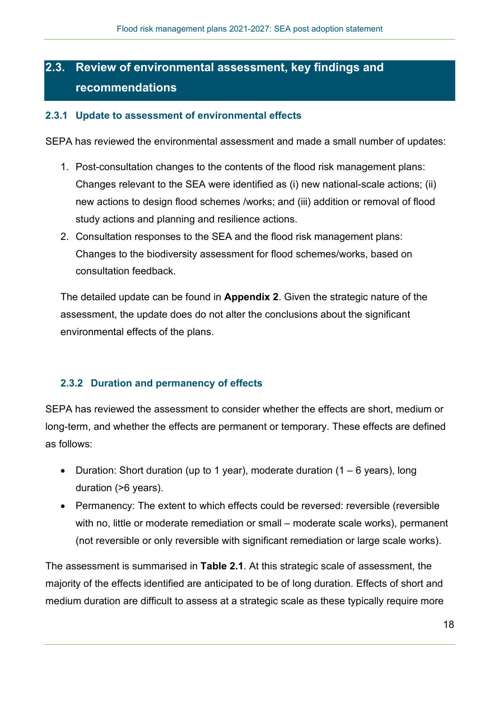## **2.3. Review of environmental assessment, key findings and recommendations**

#### **2.3.1 Update to assessment of environmental effects**

SEPA has reviewed the environmental assessment and made a small number of updates:

- 1. Post-consultation changes to the contents of the flood risk management plans: Changes relevant to the SEA were identified as (i) new national-scale actions; (ii) new actions to design flood schemes /works; and (iii) addition or removal of flood study actions and planning and resilience actions.
- 2. Consultation responses to the SEA and the flood risk management plans: Changes to the biodiversity assessment for flood schemes/works, based on consultation feedback.

The detailed update can be found in **Appendix 2**. Given the strategic nature of the assessment, the update does do not alter the conclusions about the significant environmental effects of the plans.

#### **2.3.2 Duration and permanency of effects**

SEPA has reviewed the assessment to consider whether the effects are short, medium or long-term, and whether the effects are permanent or temporary. These effects are defined as follows:

- Duration: Short duration (up to 1 year), moderate duration  $(1 6$  years), long duration (>6 years).
- Permanency: The extent to which effects could be reversed: reversible (reversible with no, little or moderate remediation or small – moderate scale works), permanent (not reversible or only reversible with significant remediation or large scale works).

The assessment is summarised in **Table 2.1**. At this strategic scale of assessment, the majority of the effects identified are anticipated to be of long duration. Effects of short and medium duration are difficult to assess at a strategic scale as these typically require more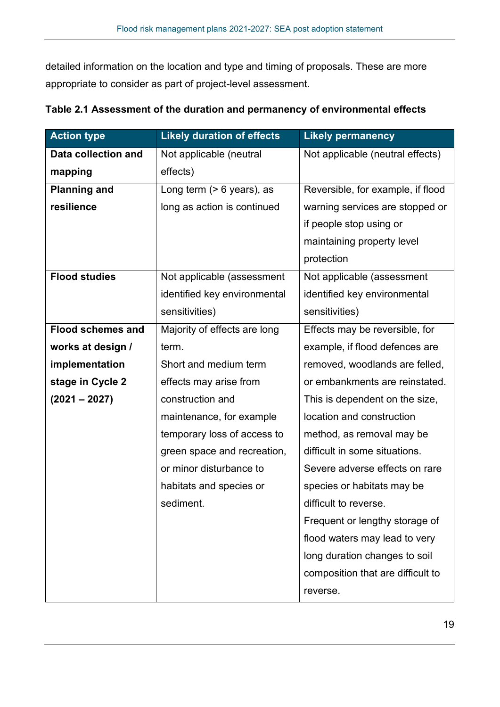detailed information on the location and type and timing of proposals. These are more appropriate to consider as part of project-level assessment.

| <b>Action type</b>       | <b>Likely duration of effects</b> | <b>Likely permanency</b>          |
|--------------------------|-----------------------------------|-----------------------------------|
| Data collection and      | Not applicable (neutral           | Not applicable (neutral effects)  |
| mapping                  | effects)                          |                                   |
| <b>Planning and</b>      | Long term $(> 6$ years), as       | Reversible, for example, if flood |
| resilience               | long as action is continued       | warning services are stopped or   |
|                          |                                   | if people stop using or           |
|                          |                                   | maintaining property level        |
|                          |                                   | protection                        |
| <b>Flood studies</b>     | Not applicable (assessment        | Not applicable (assessment        |
|                          | identified key environmental      | identified key environmental      |
|                          | sensitivities)                    | sensitivities)                    |
| <b>Flood schemes and</b> | Majority of effects are long      | Effects may be reversible, for    |
| works at design /        | term.                             | example, if flood defences are    |
| implementation           | Short and medium term             | removed, woodlands are felled,    |
| stage in Cycle 2         | effects may arise from            | or embankments are reinstated.    |
| $(2021 - 2027)$          | construction and                  | This is dependent on the size,    |
|                          | maintenance, for example          | location and construction         |
|                          | temporary loss of access to       | method, as removal may be         |
|                          | green space and recreation,       | difficult in some situations.     |
|                          | or minor disturbance to           | Severe adverse effects on rare    |
|                          | habitats and species or           | species or habitats may be        |
|                          | sediment.                         | difficult to reverse.             |
|                          |                                   | Frequent or lengthy storage of    |
|                          |                                   | flood waters may lead to very     |
|                          |                                   | long duration changes to soil     |
|                          |                                   | composition that are difficult to |
|                          |                                   | reverse.                          |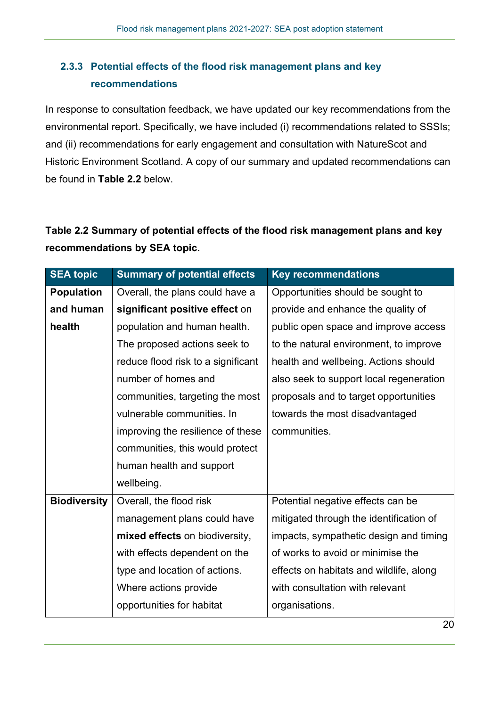## **2.3.3 Potential effects of the flood risk management plans and key recommendations**

In response to consultation feedback, we have updated our key recommendations from the environmental report. Specifically, we have included (i) recommendations related to SSSIs; and (ii) recommendations for early engagement and consultation with NatureScot and Historic Environment Scotland. A copy of our summary and updated recommendations can be found in **Table 2.2** below.

## **Table 2.2 Summary of potential effects of the flood risk management plans and key recommendations by SEA topic.**

| <b>SEA topic</b>    | <b>Summary of potential effects</b> | <b>Key recommendations</b>              |
|---------------------|-------------------------------------|-----------------------------------------|
| <b>Population</b>   | Overall, the plans could have a     | Opportunities should be sought to       |
| and human           | significant positive effect on      | provide and enhance the quality of      |
| health              | population and human health.        | public open space and improve access    |
|                     | The proposed actions seek to        | to the natural environment, to improve  |
|                     | reduce flood risk to a significant  | health and wellbeing. Actions should    |
|                     | number of homes and                 | also seek to support local regeneration |
|                     | communities, targeting the most     | proposals and to target opportunities   |
|                     | vulnerable communities. In          | towards the most disadvantaged          |
|                     | improving the resilience of these   | communities.                            |
|                     | communities, this would protect     |                                         |
|                     | human health and support            |                                         |
|                     | wellbeing.                          |                                         |
| <b>Biodiversity</b> | Overall, the flood risk             | Potential negative effects can be       |
|                     | management plans could have         | mitigated through the identification of |
|                     | mixed effects on biodiversity,      | impacts, sympathetic design and timing  |
|                     | with effects dependent on the       | of works to avoid or minimise the       |
|                     | type and location of actions.       | effects on habitats and wildlife, along |
|                     | Where actions provide               | with consultation with relevant         |
|                     | opportunities for habitat           | organisations.                          |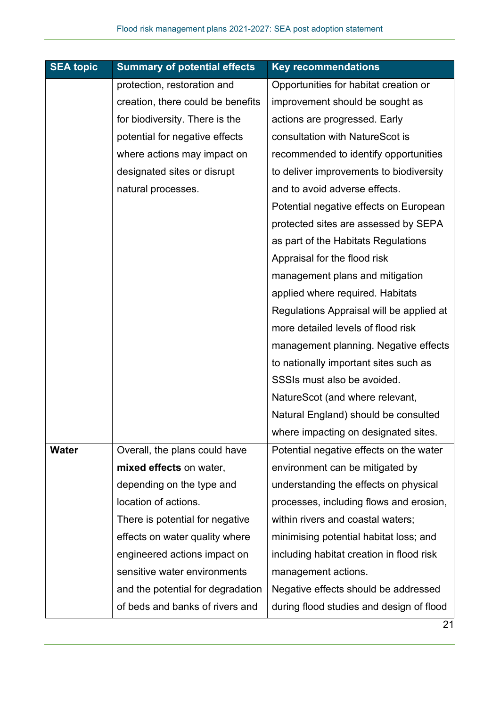| <b>SEA topic</b> | <b>Summary of potential effects</b> | <b>Key recommendations</b>               |
|------------------|-------------------------------------|------------------------------------------|
|                  | protection, restoration and         | Opportunities for habitat creation or    |
|                  | creation, there could be benefits   | improvement should be sought as          |
|                  | for biodiversity. There is the      | actions are progressed. Early            |
|                  | potential for negative effects      | consultation with NatureScot is          |
|                  | where actions may impact on         | recommended to identify opportunities    |
|                  | designated sites or disrupt         | to deliver improvements to biodiversity  |
|                  | natural processes.                  | and to avoid adverse effects.            |
|                  |                                     | Potential negative effects on European   |
|                  |                                     | protected sites are assessed by SEPA     |
|                  |                                     | as part of the Habitats Regulations      |
|                  |                                     | Appraisal for the flood risk             |
|                  |                                     | management plans and mitigation          |
|                  |                                     | applied where required. Habitats         |
|                  |                                     | Regulations Appraisal will be applied at |
|                  |                                     | more detailed levels of flood risk       |
|                  |                                     | management planning. Negative effects    |
|                  |                                     | to nationally important sites such as    |
|                  |                                     | SSSIs must also be avoided.              |
|                  |                                     | NatureScot (and where relevant,          |
|                  |                                     | Natural England) should be consulted     |
|                  |                                     | where impacting on designated sites.     |
| <b>Water</b>     | Overall, the plans could have       | Potential negative effects on the water  |
|                  | mixed effects on water,             | environment can be mitigated by          |
|                  | depending on the type and           | understanding the effects on physical    |
|                  | location of actions.                | processes, including flows and erosion,  |
|                  | There is potential for negative     | within rivers and coastal waters;        |
|                  | effects on water quality where      | minimising potential habitat loss; and   |
|                  | engineered actions impact on        | including habitat creation in flood risk |
|                  | sensitive water environments        | management actions.                      |
|                  | and the potential for degradation   | Negative effects should be addressed     |
|                  | of beds and banks of rivers and     | during flood studies and design of flood |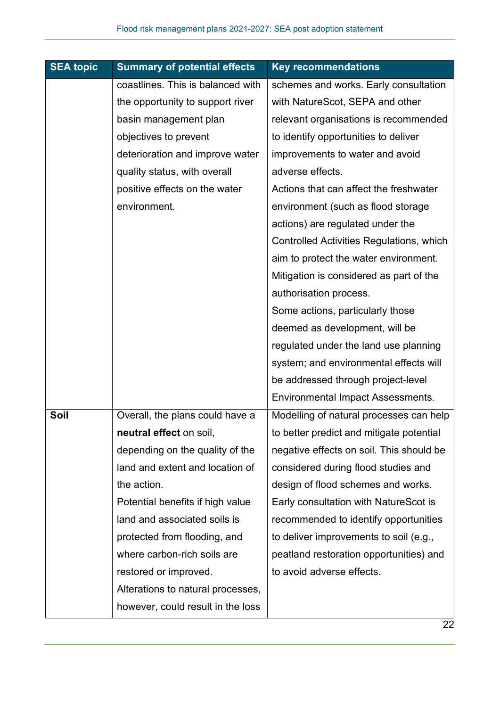| <b>SEA topic</b> | <b>Summary of potential effects</b> | <b>Key recommendations</b>               |
|------------------|-------------------------------------|------------------------------------------|
|                  | coastlines. This is balanced with   | schemes and works. Early consultation    |
|                  | the opportunity to support river    | with NatureScot, SEPA and other          |
|                  | basin management plan               | relevant organisations is recommended    |
|                  | objectives to prevent               | to identify opportunities to deliver     |
|                  | deterioration and improve water     | improvements to water and avoid          |
|                  | quality status, with overall        | adverse effects.                         |
|                  | positive effects on the water       | Actions that can affect the freshwater   |
|                  | environment.                        | environment (such as flood storage       |
|                  |                                     | actions) are regulated under the         |
|                  |                                     | Controlled Activities Regulations, which |
|                  |                                     | aim to protect the water environment.    |
|                  |                                     | Mitigation is considered as part of the  |
|                  |                                     | authorisation process.                   |
|                  |                                     | Some actions, particularly those         |
|                  |                                     | deemed as development, will be           |
|                  |                                     | regulated under the land use planning    |
|                  |                                     | system; and environmental effects will   |
|                  |                                     | be addressed through project-level       |
|                  |                                     | <b>Environmental Impact Assessments.</b> |
| Soil             | Overall, the plans could have a     | Modelling of natural processes can help  |
|                  | <b>neutral effect</b> on soil,      | to better predict and mitigate potential |
|                  | depending on the quality of the     | negative effects on soil. This should be |
|                  | land and extent and location of     | considered during flood studies and      |
|                  | the action.                         | design of flood schemes and works.       |
|                  | Potential benefits if high value    | Early consultation with NatureScot is    |
|                  | land and associated soils is        | recommended to identify opportunities    |
|                  | protected from flooding, and        | to deliver improvements to soil (e.g.,   |
|                  | where carbon-rich soils are         | peatland restoration opportunities) and  |
|                  | restored or improved.               | to avoid adverse effects.                |
|                  | Alterations to natural processes,   |                                          |
|                  | however, could result in the loss   |                                          |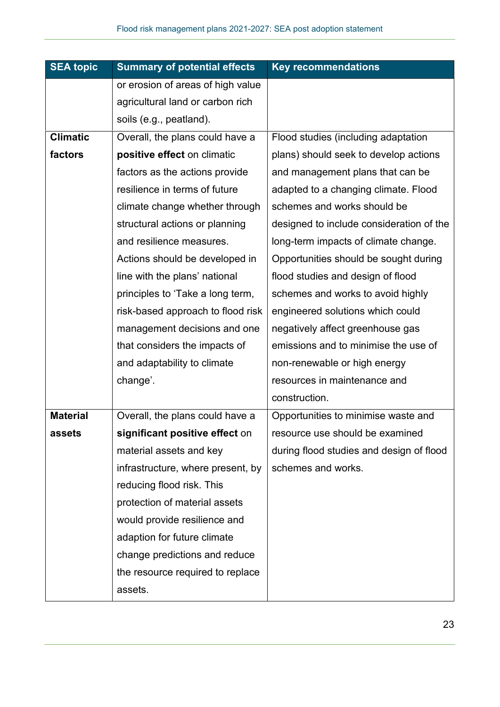| <b>SEA topic</b> | <b>Summary of potential effects</b> | <b>Key recommendations</b>               |
|------------------|-------------------------------------|------------------------------------------|
|                  | or erosion of areas of high value   |                                          |
|                  | agricultural land or carbon rich    |                                          |
|                  | soils (e.g., peatland).             |                                          |
| <b>Climatic</b>  | Overall, the plans could have a     | Flood studies (including adaptation      |
| factors          | positive effect on climatic         | plans) should seek to develop actions    |
|                  | factors as the actions provide      | and management plans that can be         |
|                  | resilience in terms of future       | adapted to a changing climate. Flood     |
|                  | climate change whether through      | schemes and works should be              |
|                  | structural actions or planning      | designed to include consideration of the |
|                  | and resilience measures.            | long-term impacts of climate change.     |
|                  | Actions should be developed in      | Opportunities should be sought during    |
|                  | line with the plans' national       | flood studies and design of flood        |
|                  | principles to 'Take a long term,    | schemes and works to avoid highly        |
|                  | risk-based approach to flood risk   | engineered solutions which could         |
|                  | management decisions and one        | negatively affect greenhouse gas         |
|                  | that considers the impacts of       | emissions and to minimise the use of     |
|                  | and adaptability to climate         | non-renewable or high energy             |
|                  | change'.                            | resources in maintenance and             |
|                  |                                     | construction.                            |
| <b>Material</b>  | Overall, the plans could have a     | Opportunities to minimise waste and      |
| assets           | significant positive effect on      | resource use should be examined          |
|                  | material assets and key             | during flood studies and design of flood |
|                  | infrastructure, where present, by   | schemes and works.                       |
|                  | reducing flood risk. This           |                                          |
|                  | protection of material assets       |                                          |
|                  | would provide resilience and        |                                          |
|                  | adaption for future climate         |                                          |
|                  | change predictions and reduce       |                                          |
|                  | the resource required to replace    |                                          |
|                  | assets.                             |                                          |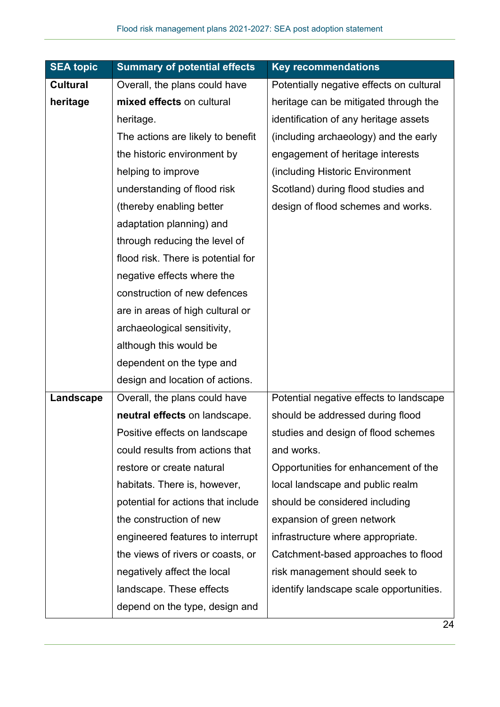| <b>SEA topic</b> | <b>Summary of potential effects</b> | <b>Key recommendations</b>               |
|------------------|-------------------------------------|------------------------------------------|
| <b>Cultural</b>  | Overall, the plans could have       | Potentially negative effects on cultural |
| heritage         | mixed effects on cultural           | heritage can be mitigated through the    |
|                  | heritage.                           | identification of any heritage assets    |
|                  | The actions are likely to benefit   | (including archaeology) and the early    |
|                  | the historic environment by         | engagement of heritage interests         |
|                  | helping to improve                  | (including Historic Environment          |
|                  | understanding of flood risk         | Scotland) during flood studies and       |
|                  | (thereby enabling better            | design of flood schemes and works.       |
|                  | adaptation planning) and            |                                          |
|                  | through reducing the level of       |                                          |
|                  | flood risk. There is potential for  |                                          |
|                  | negative effects where the          |                                          |
|                  | construction of new defences        |                                          |
|                  | are in areas of high cultural or    |                                          |
|                  | archaeological sensitivity,         |                                          |
|                  | although this would be              |                                          |
|                  | dependent on the type and           |                                          |
|                  | design and location of actions.     |                                          |
| Landscape        | Overall, the plans could have       | Potential negative effects to landscape  |
|                  | neutral effects on landscape.       | should be addressed during flood         |
|                  | Positive effects on landscape       | studies and design of flood schemes      |
|                  | could results from actions that     | and works.                               |
|                  | restore or create natural           | Opportunities for enhancement of the     |
|                  | habitats. There is, however,        | local landscape and public realm         |
|                  | potential for actions that include  | should be considered including           |
|                  | the construction of new             | expansion of green network               |
|                  | engineered features to interrupt    | infrastructure where appropriate.        |
|                  | the views of rivers or coasts, or   | Catchment-based approaches to flood      |
|                  | negatively affect the local         | risk management should seek to           |
|                  | landscape. These effects            | identify landscape scale opportunities.  |
|                  | depend on the type, design and      |                                          |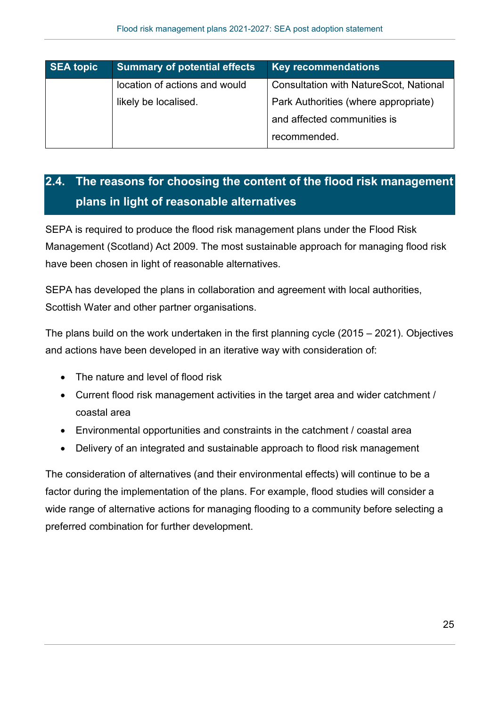| <b>SEA topic</b> | <b>Summary of potential effects</b> | <b>Key recommendations</b>                    |  |
|------------------|-------------------------------------|-----------------------------------------------|--|
|                  | location of actions and would       | <b>Consultation with NatureScot, National</b> |  |
|                  | likely be localised.                | Park Authorities (where appropriate)          |  |
|                  |                                     | and affected communities is                   |  |
|                  |                                     | recommended.                                  |  |

## **2.4. The reasons for choosing the content of the flood risk management plans in light of reasonable alternatives**

SEPA is required to produce the flood risk management plans under the Flood Risk Management (Scotland) Act 2009. The most sustainable approach for managing flood risk have been chosen in light of reasonable alternatives.

SEPA has developed the plans in collaboration and agreement with local authorities, Scottish Water and other partner organisations.

The plans build on the work undertaken in the first planning cycle (2015 – 2021). Objectives and actions have been developed in an iterative way with consideration of:

- The nature and level of flood risk
- Current flood risk management activities in the target area and wider catchment / coastal area
- Environmental opportunities and constraints in the catchment / coastal area
- Delivery of an integrated and sustainable approach to flood risk management

The consideration of alternatives (and their environmental effects) will continue to be a factor during the implementation of the plans. For example, flood studies will consider a wide range of alternative actions for managing flooding to a community before selecting a preferred combination for further development.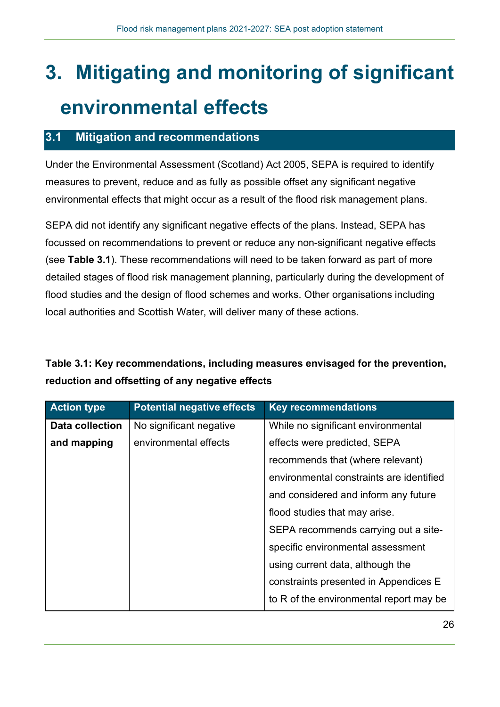# **3. Mitigating and monitoring of significant environmental effects**

## **3.1 Mitigation and recommendations**

Under the Environmental Assessment (Scotland) Act 2005, SEPA is required to identify measures to prevent, reduce and as fully as possible offset any significant negative environmental effects that might occur as a result of the flood risk management plans.

SEPA did not identify any significant negative effects of the plans. Instead, SEPA has focussed on recommendations to prevent or reduce any non-significant negative effects (see **Table 3.1**). These recommendations will need to be taken forward as part of more detailed stages of flood risk management planning, particularly during the development of flood studies and the design of flood schemes and works. Other organisations including local authorities and Scottish Water, will deliver many of these actions.

## **Table 3.1: Key recommendations, including measures envisaged for the prevention, reduction and offsetting of any negative effects**

| <b>Action type</b>     | <b>Potential negative effects</b> | <b>Key recommendations</b>               |  |
|------------------------|-----------------------------------|------------------------------------------|--|
| <b>Data collection</b> | No significant negative           | While no significant environmental       |  |
| and mapping            | environmental effects             | effects were predicted, SEPA             |  |
|                        |                                   | recommends that (where relevant)         |  |
|                        |                                   | environmental constraints are identified |  |
|                        |                                   | and considered and inform any future     |  |
|                        |                                   | flood studies that may arise.            |  |
|                        |                                   | SEPA recommends carrying out a site-     |  |
|                        |                                   | specific environmental assessment        |  |
|                        |                                   | using current data, although the         |  |
|                        |                                   | constraints presented in Appendices E    |  |
|                        |                                   | to R of the environmental report may be  |  |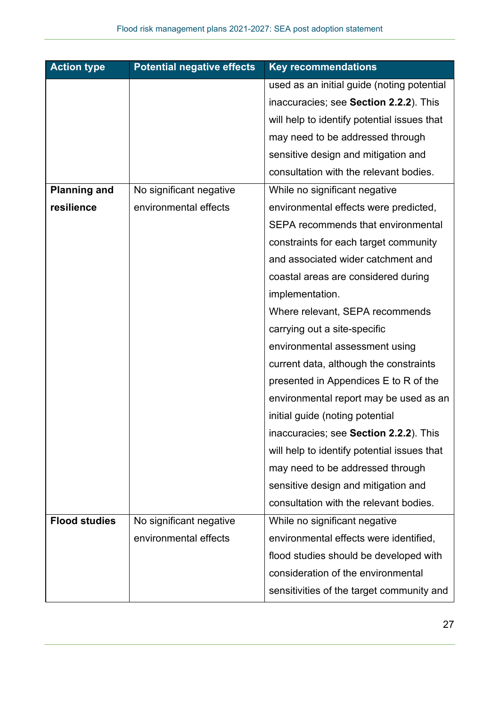| <b>Action type</b>   | <b>Potential negative effects</b> | <b>Key recommendations</b>                  |
|----------------------|-----------------------------------|---------------------------------------------|
|                      |                                   | used as an initial guide (noting potential  |
|                      |                                   | inaccuracies; see Section 2.2.2). This      |
|                      |                                   | will help to identify potential issues that |
|                      |                                   | may need to be addressed through            |
|                      |                                   | sensitive design and mitigation and         |
|                      |                                   | consultation with the relevant bodies.      |
| <b>Planning and</b>  | No significant negative           | While no significant negative               |
| resilience           | environmental effects             | environmental effects were predicted,       |
|                      |                                   | <b>SEPA recommends that environmental</b>   |
|                      |                                   | constraints for each target community       |
|                      |                                   | and associated wider catchment and          |
|                      |                                   | coastal areas are considered during         |
|                      |                                   | implementation.                             |
|                      |                                   | Where relevant, SEPA recommends             |
|                      |                                   | carrying out a site-specific                |
|                      |                                   | environmental assessment using              |
|                      |                                   | current data, although the constraints      |
|                      |                                   | presented in Appendices E to R of the       |
|                      |                                   | environmental report may be used as an      |
|                      |                                   | initial guide (noting potential             |
|                      |                                   | inaccuracies; see Section 2.2.2). This      |
|                      |                                   | will help to identify potential issues that |
|                      |                                   | may need to be addressed through            |
|                      |                                   | sensitive design and mitigation and         |
|                      |                                   | consultation with the relevant bodies.      |
| <b>Flood studies</b> | No significant negative           | While no significant negative               |
|                      | environmental effects             | environmental effects were identified,      |
|                      |                                   | flood studies should be developed with      |
|                      |                                   | consideration of the environmental          |
|                      |                                   | sensitivities of the target community and   |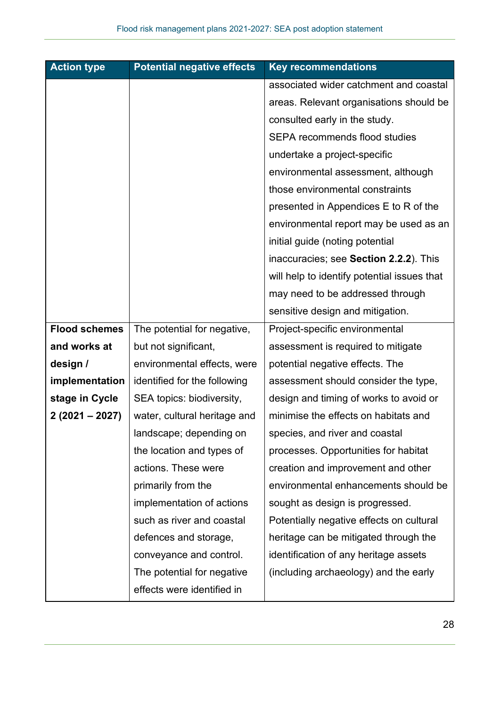| <b>Action type</b>   | <b>Potential negative effects</b>     | <b>Key recommendations</b>                  |
|----------------------|---------------------------------------|---------------------------------------------|
|                      |                                       | associated wider catchment and coastal      |
|                      |                                       | areas. Relevant organisations should be     |
|                      |                                       | consulted early in the study.               |
|                      |                                       | <b>SEPA recommends flood studies</b>        |
|                      |                                       | undertake a project-specific                |
|                      |                                       | environmental assessment, although          |
|                      |                                       | those environmental constraints             |
|                      | presented in Appendices E to R of the |                                             |
|                      |                                       | environmental report may be used as an      |
|                      |                                       | initial guide (noting potential             |
|                      |                                       | inaccuracies; see Section 2.2.2). This      |
|                      |                                       | will help to identify potential issues that |
|                      |                                       | may need to be addressed through            |
|                      |                                       | sensitive design and mitigation.            |
| <b>Flood schemes</b> | The potential for negative,           | Project-specific environmental              |
| and works at         | but not significant,                  | assessment is required to mitigate          |
| design /             | environmental effects, were           | potential negative effects. The             |
| implementation       | identified for the following          | assessment should consider the type,        |
| stage in Cycle       | SEA topics: biodiversity,             | design and timing of works to avoid or      |
| $2(2021 - 2027)$     | water, cultural heritage and          | minimise the effects on habitats and        |
|                      | landscape; depending on               | species, and river and coastal              |
|                      | the location and types of             | processes. Opportunities for habitat        |
|                      | actions. These were                   | creation and improvement and other          |
|                      | primarily from the                    | environmental enhancements should be        |
|                      | implementation of actions             | sought as design is progressed.             |
|                      | such as river and coastal             | Potentially negative effects on cultural    |
|                      | defences and storage,                 | heritage can be mitigated through the       |
|                      | conveyance and control.               | identification of any heritage assets       |
|                      | The potential for negative            | (including archaeology) and the early       |
|                      | effects were identified in            |                                             |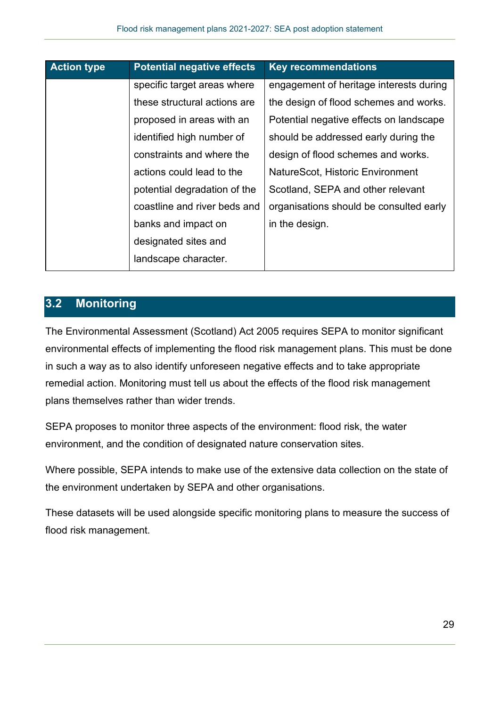| <b>Action type</b> | <b>Potential negative effects</b> | <b>Key recommendations</b>              |
|--------------------|-----------------------------------|-----------------------------------------|
|                    | specific target areas where       | engagement of heritage interests during |
|                    | these structural actions are      | the design of flood schemes and works.  |
|                    | proposed in areas with an         | Potential negative effects on landscape |
|                    | identified high number of         | should be addressed early during the    |
|                    | constraints and where the         | design of flood schemes and works.      |
|                    | actions could lead to the         | NatureScot, Historic Environment        |
|                    | potential degradation of the      | Scotland, SEPA and other relevant       |
|                    | coastline and river beds and      | organisations should be consulted early |
|                    | banks and impact on               | in the design.                          |
|                    | designated sites and              |                                         |
|                    | landscape character.              |                                         |

## **3.2 Monitoring**

The Environmental Assessment (Scotland) Act 2005 requires SEPA to monitor significant environmental effects of implementing the flood risk management plans. This must be done in such a way as to also identify unforeseen negative effects and to take appropriate remedial action. Monitoring must tell us about the effects of the flood risk management plans themselves rather than wider trends.

SEPA proposes to monitor three aspects of the environment: flood risk, the water environment, and the condition of designated nature conservation sites.

Where possible, SEPA intends to make use of the extensive data collection on the state of the environment undertaken by SEPA and other organisations.

These datasets will be used alongside specific monitoring plans to measure the success of flood risk management.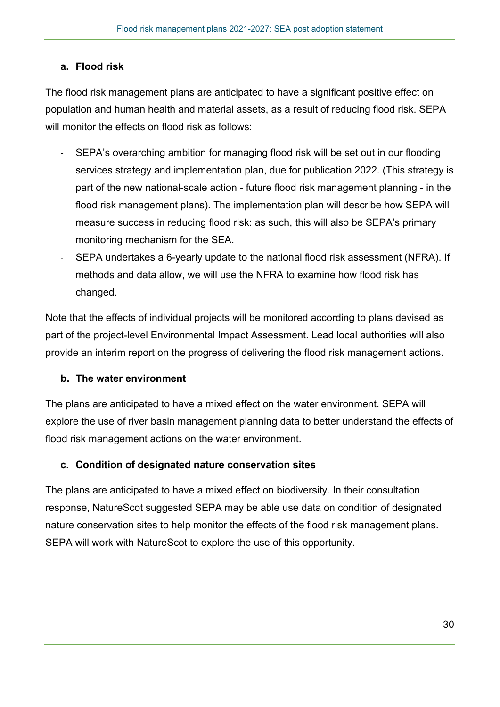## **a. Flood risk**

The flood risk management plans are anticipated to have a significant positive effect on population and human health and material assets, as a result of reducing flood risk. SEPA will monitor the effects on flood risk as follows:

- SEPA's overarching ambition for managing flood risk will be set out in our flooding services strategy and implementation plan, due for publication 2022. (This strategy is part of the new national-scale action - future flood risk management planning - in the flood risk management plans). The implementation plan will describe how SEPA will measure success in reducing flood risk: as such, this will also be SEPA's primary monitoring mechanism for the SEA.
- SEPA undertakes a 6-yearly update to the national flood risk assessment (NFRA). If methods and data allow, we will use the NFRA to examine how flood risk has changed.

Note that the effects of individual projects will be monitored according to plans devised as part of the project-level Environmental Impact Assessment. Lead local authorities will also provide an interim report on the progress of delivering the flood risk management actions.

#### **b. The water environment**

The plans are anticipated to have a mixed effect on the water environment. SEPA will explore the use of river basin management planning data to better understand the effects of flood risk management actions on the water environment.

#### **c. Condition of designated nature conservation sites**

The plans are anticipated to have a mixed effect on biodiversity. In their consultation response, NatureScot suggested SEPA may be able use data on condition of designated nature conservation sites to help monitor the effects of the flood risk management plans. SEPA will work with NatureScot to explore the use of this opportunity.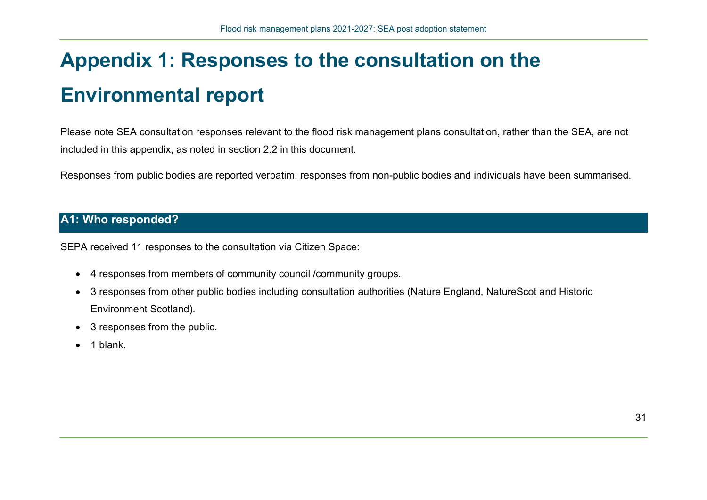# **Appendix 1: Responses to the consultation on the Environmental report**

Please note SEA consultation responses relevant to the flood risk management plans consultation, rather than the SEA, are not included in this appendix, as noted in section 2.2 in this document.

Responses from public bodies are reported verbatim; responses from non-public bodies and individuals have been summarised.

## **A1: Who responded?**

SEPA received 11 responses to the consultation via Citizen Space:

- 4 responses from members of community council /community groups.
- 3 responses from other public bodies including consultation authorities (Nature England, NatureScot and Historic Environment Scotland).
- 3 responses from the public.
- $\bullet$  1 blank.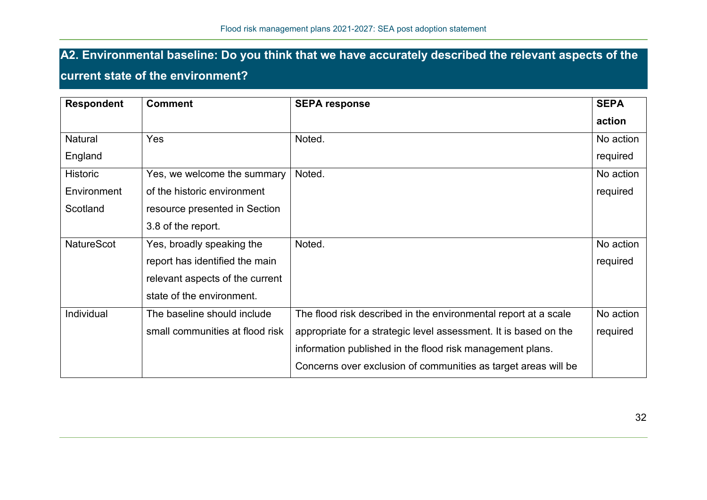## **A2. Environmental baseline: Do you think that we have accurately described the relevant aspects of the**

## **current state of the environment?**

| <b>Respondent</b> | <b>Comment</b>                  | <b>SEPA response</b>                                             | <b>SEPA</b> |
|-------------------|---------------------------------|------------------------------------------------------------------|-------------|
|                   |                                 |                                                                  | action      |
| Natural           | Yes                             | Noted.                                                           | No action   |
| England           |                                 |                                                                  | required    |
| <b>Historic</b>   | Yes, we welcome the summary     | Noted.                                                           | No action   |
| Environment       | of the historic environment     |                                                                  | required    |
| Scotland          | resource presented in Section   |                                                                  |             |
|                   | 3.8 of the report.              |                                                                  |             |
| <b>NatureScot</b> | Yes, broadly speaking the       | Noted.                                                           | No action   |
|                   | report has identified the main  |                                                                  | required    |
|                   | relevant aspects of the current |                                                                  |             |
|                   | state of the environment.       |                                                                  |             |
| Individual        | The baseline should include     | The flood risk described in the environmental report at a scale  | No action   |
|                   | small communities at flood risk | appropriate for a strategic level assessment. It is based on the | required    |
|                   |                                 | information published in the flood risk management plans.        |             |
|                   |                                 | Concerns over exclusion of communities as target areas will be   |             |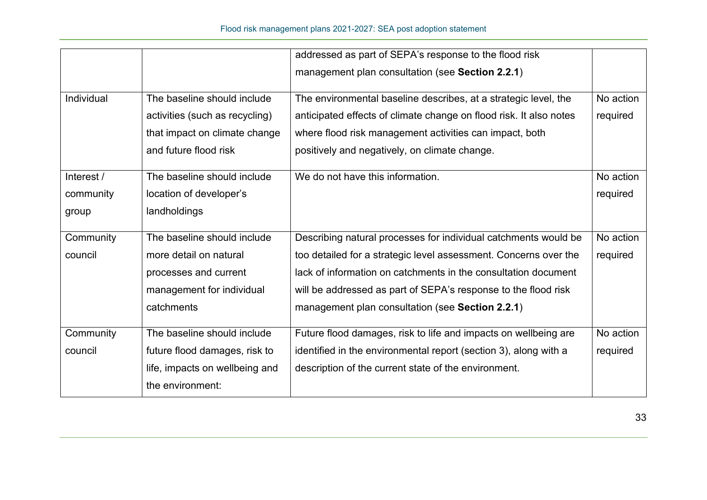|            |                                                                                                | addressed as part of SEPA's response to the flood risk                                                                                                                                           |                       |
|------------|------------------------------------------------------------------------------------------------|--------------------------------------------------------------------------------------------------------------------------------------------------------------------------------------------------|-----------------------|
|            |                                                                                                | management plan consultation (see Section 2.2.1)                                                                                                                                                 |                       |
| Individual | The baseline should include<br>activities (such as recycling)<br>that impact on climate change | The environmental baseline describes, at a strategic level, the<br>anticipated effects of climate change on flood risk. It also notes<br>where flood risk management activities can impact, both | No action<br>required |
|            | and future flood risk                                                                          | positively and negatively, on climate change.                                                                                                                                                    |                       |
| Interest / | The baseline should include                                                                    | We do not have this information.                                                                                                                                                                 | No action             |
| community  | location of developer's                                                                        |                                                                                                                                                                                                  | required              |
| group      | landholdings                                                                                   |                                                                                                                                                                                                  |                       |
| Community  | The baseline should include                                                                    | Describing natural processes for individual catchments would be                                                                                                                                  | No action             |
| council    | more detail on natural                                                                         | too detailed for a strategic level assessment. Concerns over the                                                                                                                                 | required              |
|            | processes and current                                                                          | lack of information on catchments in the consultation document                                                                                                                                   |                       |
|            | management for individual                                                                      | will be addressed as part of SEPA's response to the flood risk                                                                                                                                   |                       |
|            | catchments                                                                                     | management plan consultation (see Section 2.2.1)                                                                                                                                                 |                       |
| Community  | The baseline should include                                                                    | Future flood damages, risk to life and impacts on wellbeing are                                                                                                                                  | No action             |
| council    | future flood damages, risk to                                                                  | identified in the environmental report (section 3), along with a                                                                                                                                 | required              |
|            | life, impacts on wellbeing and<br>the environment:                                             | description of the current state of the environment.                                                                                                                                             |                       |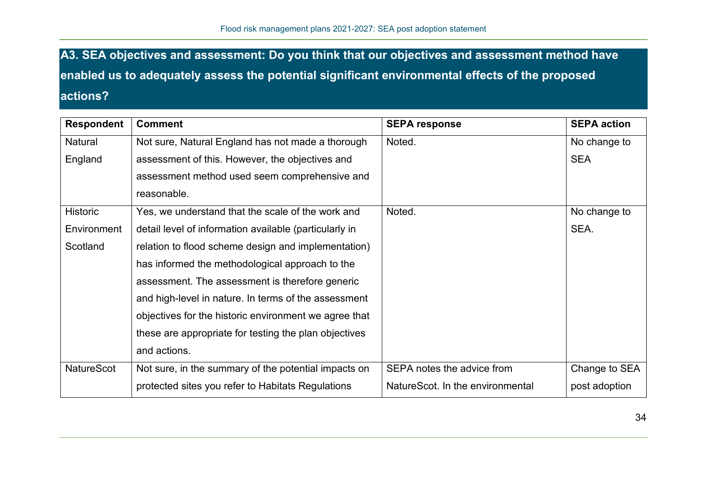**A3. SEA objectives and assessment: Do you think that our objectives and assessment method have enabled us to adequately assess the potential significant environmental effects of the proposed actions?** 

| <b>Respondent</b> | <b>Comment</b>                                         | <b>SEPA response</b>             | <b>SEPA action</b> |
|-------------------|--------------------------------------------------------|----------------------------------|--------------------|
| Natural           | Not sure, Natural England has not made a thorough      | Noted.                           | No change to       |
| England           | assessment of this. However, the objectives and        |                                  | <b>SEA</b>         |
|                   | assessment method used seem comprehensive and          |                                  |                    |
|                   | reasonable.                                            |                                  |                    |
| <b>Historic</b>   | Yes, we understand that the scale of the work and      | Noted.                           | No change to       |
| Environment       | detail level of information available (particularly in |                                  | SEA.               |
| Scotland          | relation to flood scheme design and implementation)    |                                  |                    |
|                   | has informed the methodological approach to the        |                                  |                    |
|                   | assessment. The assessment is therefore generic        |                                  |                    |
|                   | and high-level in nature. In terms of the assessment   |                                  |                    |
|                   | objectives for the historic environment we agree that  |                                  |                    |
|                   | these are appropriate for testing the plan objectives  |                                  |                    |
|                   | and actions.                                           |                                  |                    |
| <b>NatureScot</b> | Not sure, in the summary of the potential impacts on   | SEPA notes the advice from       | Change to SEA      |
|                   | protected sites you refer to Habitats Regulations      | NatureScot. In the environmental | post adoption      |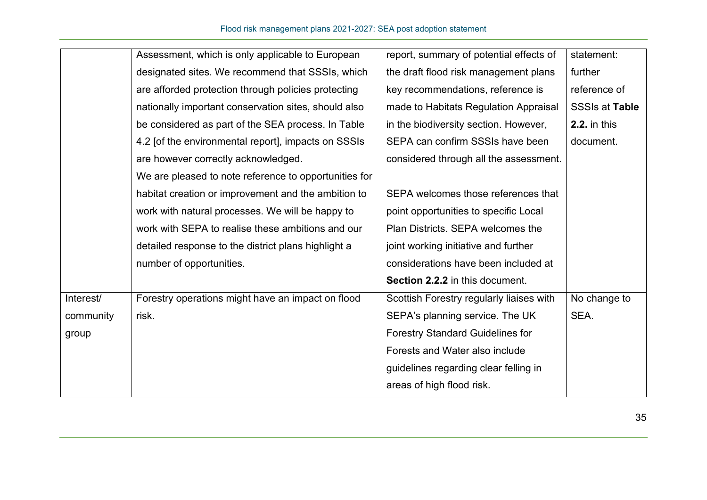|           | Assessment, which is only applicable to European      | report, summary of potential effects of  | statement:            |
|-----------|-------------------------------------------------------|------------------------------------------|-----------------------|
|           | designated sites. We recommend that SSSIs, which      | the draft flood risk management plans    | further               |
|           | are afforded protection through policies protecting   | key recommendations, reference is        | reference of          |
|           | nationally important conservation sites, should also  | made to Habitats Regulation Appraisal    | <b>SSSIs at Table</b> |
|           | be considered as part of the SEA process. In Table    | in the biodiversity section. However,    | <b>2.2.</b> in this   |
|           | 4.2 [of the environmental report], impacts on SSSIs   | SEPA can confirm SSSIs have been         | document.             |
|           | are however correctly acknowledged.                   | considered through all the assessment.   |                       |
|           | We are pleased to note reference to opportunities for |                                          |                       |
|           | habitat creation or improvement and the ambition to   | SEPA welcomes those references that      |                       |
|           | work with natural processes. We will be happy to      | point opportunities to specific Local    |                       |
|           | work with SEPA to realise these ambitions and our     | Plan Districts. SEPA welcomes the        |                       |
|           | detailed response to the district plans highlight a   | joint working initiative and further     |                       |
|           | number of opportunities.                              | considerations have been included at     |                       |
|           |                                                       | Section 2.2.2 in this document.          |                       |
| Interest/ | Forestry operations might have an impact on flood     | Scottish Forestry regularly liaises with | No change to          |
| community | risk.                                                 | SEPA's planning service. The UK          | SEA.                  |
| group     |                                                       | <b>Forestry Standard Guidelines for</b>  |                       |
|           |                                                       | Forests and Water also include           |                       |
|           |                                                       | guidelines regarding clear felling in    |                       |
|           |                                                       | areas of high flood risk.                |                       |
|           |                                                       |                                          |                       |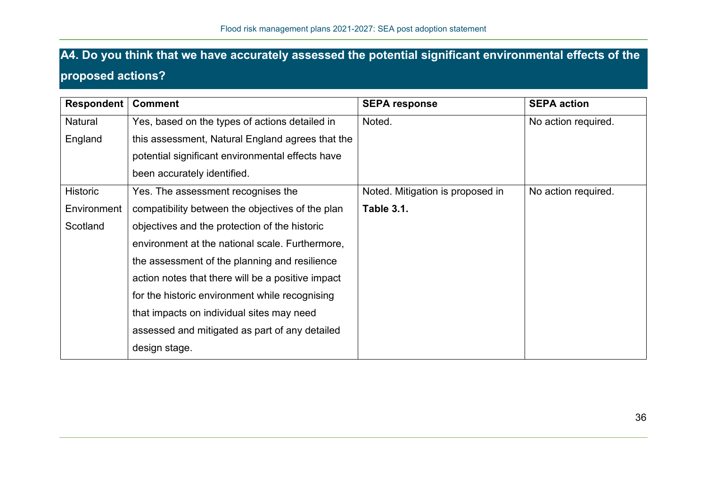## **A4. Do you think that we have accurately assessed the potential significant environmental effects of the proposed actions?**

| <b>Respondent</b> | <b>Comment</b>                                    | <b>SEPA response</b>             | <b>SEPA action</b>  |
|-------------------|---------------------------------------------------|----------------------------------|---------------------|
| Natural           | Yes, based on the types of actions detailed in    | Noted.                           | No action required. |
| England           | this assessment, Natural England agrees that the  |                                  |                     |
|                   | potential significant environmental effects have  |                                  |                     |
|                   | been accurately identified.                       |                                  |                     |
| <b>Historic</b>   | Yes. The assessment recognises the                | Noted. Mitigation is proposed in | No action required. |
| Environment       | compatibility between the objectives of the plan  | <b>Table 3.1.</b>                |                     |
| Scotland          | objectives and the protection of the historic     |                                  |                     |
|                   | environment at the national scale. Furthermore,   |                                  |                     |
|                   | the assessment of the planning and resilience     |                                  |                     |
|                   | action notes that there will be a positive impact |                                  |                     |
|                   | for the historic environment while recognising    |                                  |                     |
|                   | that impacts on individual sites may need         |                                  |                     |
|                   | assessed and mitigated as part of any detailed    |                                  |                     |
|                   | design stage.                                     |                                  |                     |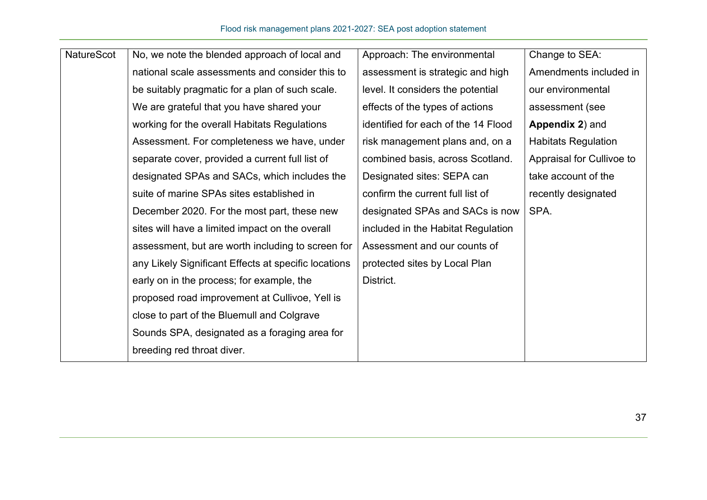| NatureScot | No, we note the blended approach of local and        | Approach: The environmental         | Change to SEA:             |
|------------|------------------------------------------------------|-------------------------------------|----------------------------|
|            | national scale assessments and consider this to      | assessment is strategic and high    | Amendments included in     |
|            | be suitably pragmatic for a plan of such scale.      | level. It considers the potential   | our environmental          |
|            | We are grateful that you have shared your            | effects of the types of actions     | assessment (see            |
|            | working for the overall Habitats Regulations         | identified for each of the 14 Flood | Appendix 2) and            |
|            | Assessment. For completeness we have, under          | risk management plans and, on a     | <b>Habitats Regulation</b> |
|            | separate cover, provided a current full list of      | combined basis, across Scotland.    | Appraisal for Cullivoe to  |
|            | designated SPAs and SACs, which includes the         | Designated sites: SEPA can          | take account of the        |
|            | suite of marine SPAs sites established in            | confirm the current full list of    | recently designated        |
|            | December 2020. For the most part, these new          | designated SPAs and SACs is now     | SPA.                       |
|            | sites will have a limited impact on the overall      | included in the Habitat Regulation  |                            |
|            | assessment, but are worth including to screen for    | Assessment and our counts of        |                            |
|            | any Likely Significant Effects at specific locations | protected sites by Local Plan       |                            |
|            | early on in the process; for example, the            | District.                           |                            |
|            | proposed road improvement at Cullivoe, Yell is       |                                     |                            |
|            | close to part of the Bluemull and Colgrave           |                                     |                            |
|            | Sounds SPA, designated as a foraging area for        |                                     |                            |
|            | breeding red throat diver.                           |                                     |                            |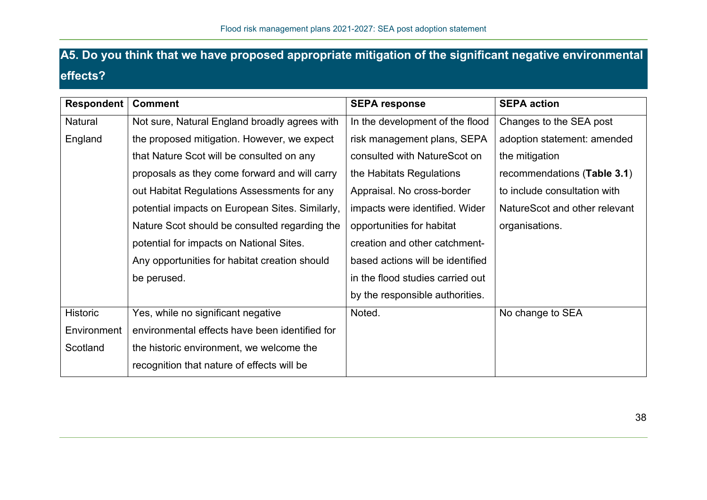## **A5. Do you think that we have proposed appropriate mitigation of the significant negative environmental effects?**

| <b>Respondent</b> | <b>Comment</b>                                  | <b>SEPA response</b>             | <b>SEPA action</b>            |
|-------------------|-------------------------------------------------|----------------------------------|-------------------------------|
| Natural           | Not sure, Natural England broadly agrees with   | In the development of the flood  | Changes to the SEA post       |
| England           | the proposed mitigation. However, we expect     | risk management plans, SEPA      | adoption statement: amended   |
|                   | that Nature Scot will be consulted on any       | consulted with NatureScot on     | the mitigation                |
|                   | proposals as they come forward and will carry   | the Habitats Regulations         | recommendations (Table 3.1)   |
|                   | out Habitat Regulations Assessments for any     | Appraisal. No cross-border       | to include consultation with  |
|                   | potential impacts on European Sites. Similarly, | impacts were identified. Wider   | NatureScot and other relevant |
|                   | Nature Scot should be consulted regarding the   | opportunities for habitat        | organisations.                |
|                   | potential for impacts on National Sites.        | creation and other catchment-    |                               |
|                   | Any opportunities for habitat creation should   | based actions will be identified |                               |
|                   | be perused.                                     | in the flood studies carried out |                               |
|                   |                                                 | by the responsible authorities.  |                               |
| <b>Historic</b>   | Yes, while no significant negative              | Noted.                           | No change to SEA              |
| Environment       | environmental effects have been identified for  |                                  |                               |
| Scotland          | the historic environment, we welcome the        |                                  |                               |
|                   | recognition that nature of effects will be      |                                  |                               |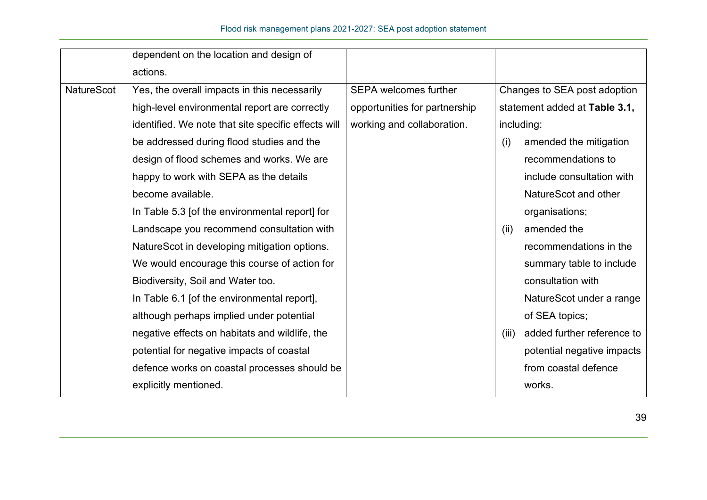|                   | dependent on the location and design of             |                               |       |                               |
|-------------------|-----------------------------------------------------|-------------------------------|-------|-------------------------------|
|                   | actions.                                            |                               |       |                               |
| <b>NatureScot</b> | Yes, the overall impacts in this necessarily        | <b>SEPA welcomes further</b>  |       | Changes to SEA post adoption  |
|                   | high-level environmental report are correctly       | opportunities for partnership |       | statement added at Table 3.1, |
|                   | identified. We note that site specific effects will | working and collaboration.    |       | including:                    |
|                   | be addressed during flood studies and the           |                               | (i)   | amended the mitigation        |
|                   | design of flood schemes and works. We are           |                               |       | recommendations to            |
|                   | happy to work with SEPA as the details              |                               |       | include consultation with     |
|                   | become available.                                   |                               |       | NatureScot and other          |
|                   | In Table 5.3 [of the environmental report] for      |                               |       | organisations;                |
|                   | Landscape you recommend consultation with           |                               | (ii)  | amended the                   |
|                   | NatureScot in developing mitigation options.        |                               |       | recommendations in the        |
|                   | We would encourage this course of action for        |                               |       | summary table to include      |
|                   | Biodiversity, Soil and Water too.                   |                               |       | consultation with             |
|                   | In Table 6.1 [of the environmental report],         |                               |       | NatureScot under a range      |
|                   | although perhaps implied under potential            |                               |       | of SEA topics;                |
|                   | negative effects on habitats and wildlife, the      |                               | (iii) | added further reference to    |
|                   | potential for negative impacts of coastal           |                               |       | potential negative impacts    |
|                   | defence works on coastal processes should be        |                               |       | from coastal defence          |
|                   | explicitly mentioned.                               |                               |       | works.                        |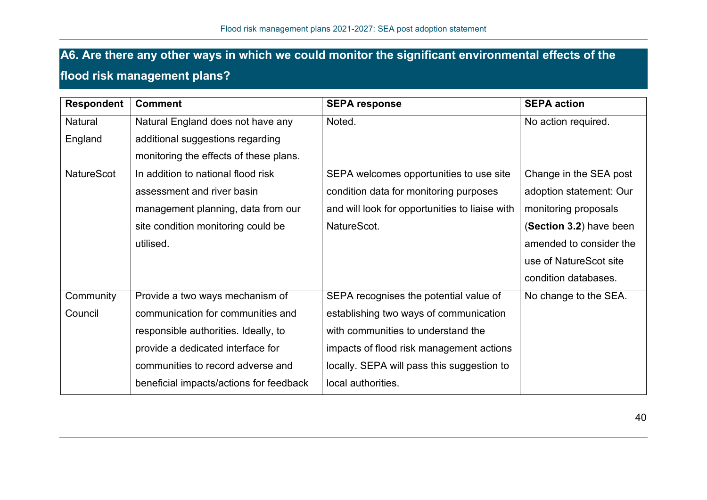## **A6. Are there any other ways in which we could monitor the significant environmental effects of the flood risk management plans?**

| <b>Respondent</b> | <b>Comment</b>                          | <b>SEPA response</b>                           | <b>SEPA action</b>      |
|-------------------|-----------------------------------------|------------------------------------------------|-------------------------|
| Natural           | Natural England does not have any       | Noted.                                         | No action required.     |
| England           | additional suggestions regarding        |                                                |                         |
|                   | monitoring the effects of these plans.  |                                                |                         |
| NatureScot        | In addition to national flood risk      | SEPA welcomes opportunities to use site        | Change in the SEA post  |
|                   | assessment and river basin              | condition data for monitoring purposes         | adoption statement: Our |
|                   | management planning, data from our      | and will look for opportunities to liaise with | monitoring proposals    |
|                   | site condition monitoring could be      | NatureScot.                                    | (Section 3.2) have been |
|                   | utilised.                               |                                                | amended to consider the |
|                   |                                         |                                                | use of NatureScot site  |
|                   |                                         |                                                | condition databases.    |
| Community         | Provide a two ways mechanism of         | SEPA recognises the potential value of         | No change to the SEA.   |
| Council           | communication for communities and       | establishing two ways of communication         |                         |
|                   | responsible authorities. Ideally, to    | with communities to understand the             |                         |
|                   | provide a dedicated interface for       | impacts of flood risk management actions       |                         |
|                   | communities to record adverse and       | locally. SEPA will pass this suggestion to     |                         |
|                   | beneficial impacts/actions for feedback | local authorities.                             |                         |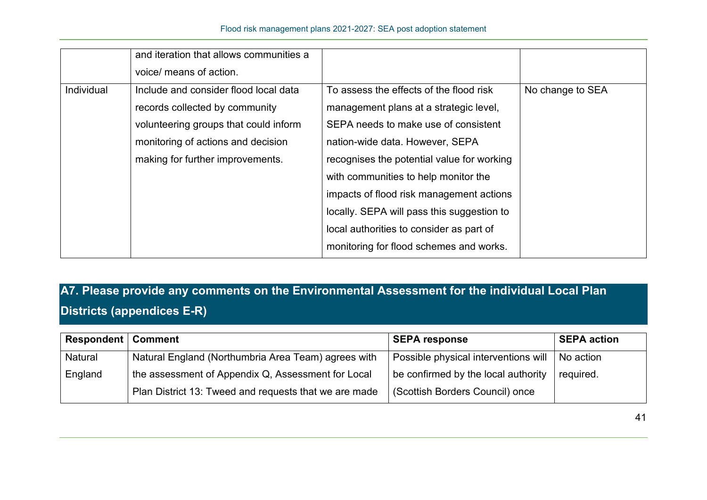|            | and iteration that allows communities a |                                            |                  |
|------------|-----------------------------------------|--------------------------------------------|------------------|
|            | voice/ means of action.                 |                                            |                  |
| Individual | Include and consider flood local data   | To assess the effects of the flood risk    | No change to SEA |
|            | records collected by community          | management plans at a strategic level,     |                  |
|            | volunteering groups that could inform   | SEPA needs to make use of consistent       |                  |
|            | monitoring of actions and decision      | nation-wide data. However, SEPA            |                  |
|            | making for further improvements.        | recognises the potential value for working |                  |
|            |                                         | with communities to help monitor the       |                  |
|            |                                         | impacts of flood risk management actions   |                  |
|            |                                         | locally. SEPA will pass this suggestion to |                  |
|            |                                         | local authorities to consider as part of   |                  |
|            |                                         | monitoring for flood schemes and works.    |                  |

## **A7. Please provide any comments on the Environmental Assessment for the individual Local Plan Districts (appendices E-R)**

| <b>Respondent   Comment</b> |                                                       | <b>SEPA response</b>                 | <b>SEPA action</b> |
|-----------------------------|-------------------------------------------------------|--------------------------------------|--------------------|
| Natural                     | Natural England (Northumbria Area Team) agrees with   | Possible physical interventions will | No action          |
| England                     | the assessment of Appendix Q, Assessment for Local    | be confirmed by the local authority  | required.          |
|                             | Plan District 13: Tweed and requests that we are made | (Scottish Borders Council) once      |                    |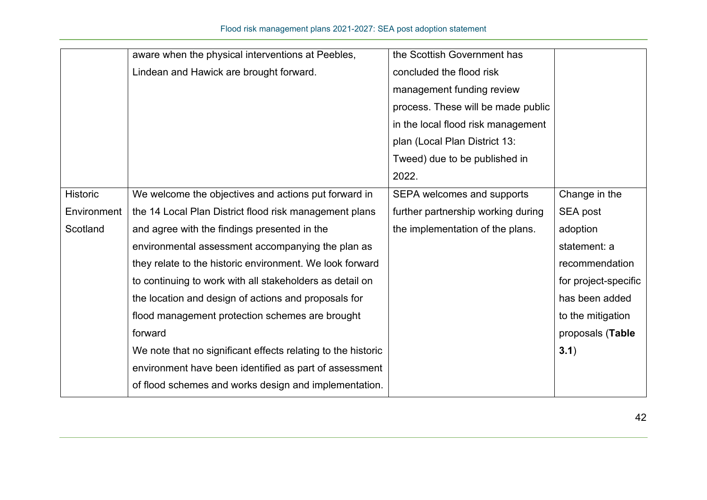|             | aware when the physical interventions at Peebles,            | the Scottish Government has        |                      |
|-------------|--------------------------------------------------------------|------------------------------------|----------------------|
|             | Lindean and Hawick are brought forward.                      | concluded the flood risk           |                      |
|             |                                                              | management funding review          |                      |
|             |                                                              | process. These will be made public |                      |
|             |                                                              | in the local flood risk management |                      |
|             |                                                              | plan (Local Plan District 13:      |                      |
|             |                                                              | Tweed) due to be published in      |                      |
|             |                                                              | 2022.                              |                      |
| Historic    | We welcome the objectives and actions put forward in         | SEPA welcomes and supports         | Change in the        |
| Environment | the 14 Local Plan District flood risk management plans       | further partnership working during | SEA post             |
| Scotland    | and agree with the findings presented in the                 | the implementation of the plans.   | adoption             |
|             | environmental assessment accompanying the plan as            |                                    | statement: a         |
|             | they relate to the historic environment. We look forward     |                                    | recommendation       |
|             | to continuing to work with all stakeholders as detail on     |                                    | for project-specific |
|             | the location and design of actions and proposals for         |                                    | has been added       |
|             | flood management protection schemes are brought              |                                    | to the mitigation    |
|             | forward                                                      |                                    | proposals (Table     |
|             | We note that no significant effects relating to the historic |                                    | 3.1)                 |
|             | environment have been identified as part of assessment       |                                    |                      |
|             | of flood schemes and works design and implementation.        |                                    |                      |
|             |                                                              |                                    |                      |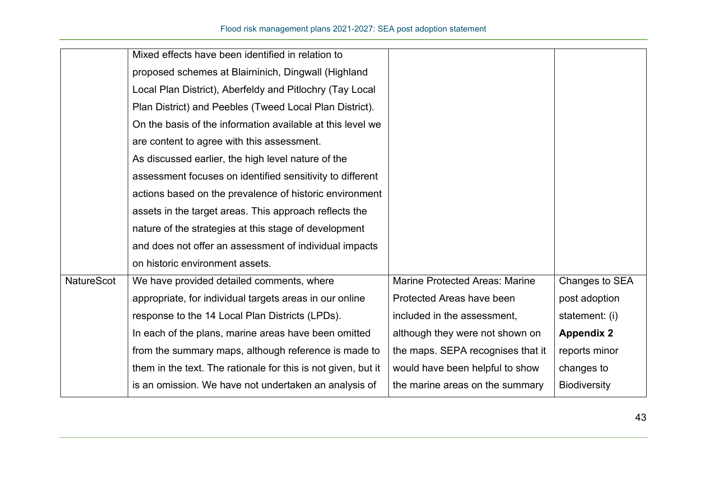|                   | Mixed effects have been identified in relation to             |                                       |                     |
|-------------------|---------------------------------------------------------------|---------------------------------------|---------------------|
|                   | proposed schemes at Blairninich, Dingwall (Highland           |                                       |                     |
|                   | Local Plan District), Aberfeldy and Pitlochry (Tay Local      |                                       |                     |
|                   | Plan District) and Peebles (Tweed Local Plan District).       |                                       |                     |
|                   | On the basis of the information available at this level we    |                                       |                     |
|                   | are content to agree with this assessment.                    |                                       |                     |
|                   | As discussed earlier, the high level nature of the            |                                       |                     |
|                   | assessment focuses on identified sensitivity to different     |                                       |                     |
|                   | actions based on the prevalence of historic environment       |                                       |                     |
|                   | assets in the target areas. This approach reflects the        |                                       |                     |
|                   | nature of the strategies at this stage of development         |                                       |                     |
|                   | and does not offer an assessment of individual impacts        |                                       |                     |
|                   | on historic environment assets.                               |                                       |                     |
| <b>NatureScot</b> | We have provided detailed comments, where                     | <b>Marine Protected Areas: Marine</b> | Changes to SEA      |
|                   | appropriate, for individual targets areas in our online       | Protected Areas have been             | post adoption       |
|                   | response to the 14 Local Plan Districts (LPDs).               | included in the assessment,           | statement: (i)      |
|                   | In each of the plans, marine areas have been omitted          | although they were not shown on       | <b>Appendix 2</b>   |
|                   | from the summary maps, although reference is made to          | the maps. SEPA recognises that it     | reports minor       |
|                   | them in the text. The rationale for this is not given, but it | would have been helpful to show       | changes to          |
|                   | is an omission. We have not undertaken an analysis of         | the marine areas on the summary       | <b>Biodiversity</b> |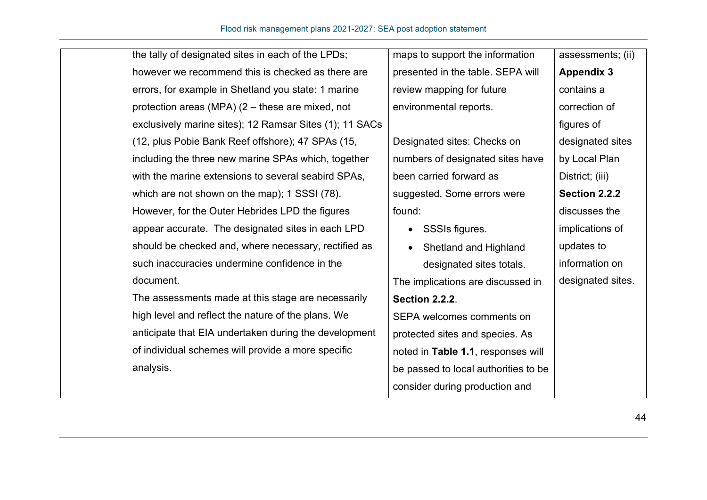| the tally of designated sites in each of the LPDs;      | maps to support the information      | assessments; (ii) |
|---------------------------------------------------------|--------------------------------------|-------------------|
| however we recommend this is checked as there are       | presented in the table. SEPA will    | <b>Appendix 3</b> |
| errors, for example in Shetland you state: 1 marine     | review mapping for future            | contains a        |
| protection areas (MPA) $(2 -$ these are mixed, not      | environmental reports.               | correction of     |
| exclusively marine sites); 12 Ramsar Sites (1); 11 SACs |                                      | figures of        |
| (12, plus Pobie Bank Reef offshore); 47 SPAs (15,       | Designated sites: Checks on          | designated sites  |
| including the three new marine SPAs which, together     | numbers of designated sites have     | by Local Plan     |
| with the marine extensions to several seabird SPAs,     | been carried forward as              | District; (iii)   |
| which are not shown on the map); 1 SSSI (78).           | suggested. Some errors were          | Section 2.2.2     |
| However, for the Outer Hebrides LPD the figures         | found:                               | discusses the     |
| appear accurate. The designated sites in each LPD       | SSSIs figures.                       | implications of   |
| should be checked and, where necessary, rectified as    | Shetland and Highland                | updates to        |
| such inaccuracies undermine confidence in the           | designated sites totals.             | information on    |
| document.                                               | The implications are discussed in    | designated sites. |
| The assessments made at this stage are necessarily      | <b>Section 2.2.2.</b>                |                   |
| high level and reflect the nature of the plans. We      | SEPA welcomes comments on            |                   |
| anticipate that EIA undertaken during the development   | protected sites and species. As      |                   |
| of individual schemes will provide a more specific      | noted in Table 1.1, responses will   |                   |
| analysis.                                               | be passed to local authorities to be |                   |
|                                                         | consider during production and       |                   |
|                                                         |                                      |                   |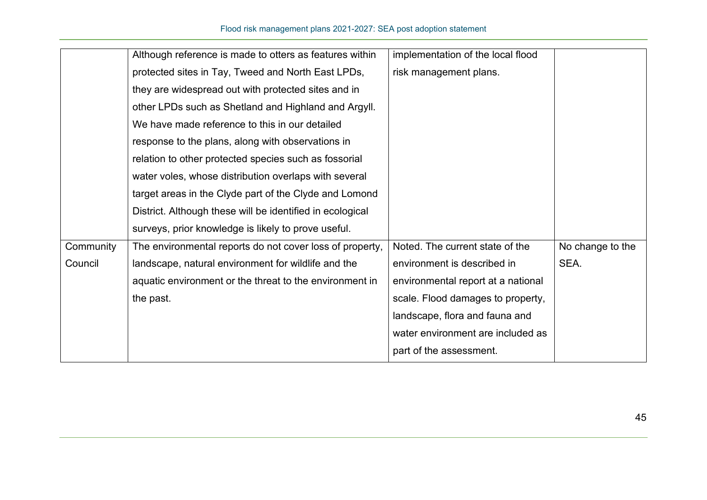|           | Although reference is made to otters as features within   | implementation of the local flood  |                  |
|-----------|-----------------------------------------------------------|------------------------------------|------------------|
|           | protected sites in Tay, Tweed and North East LPDs,        | risk management plans.             |                  |
|           | they are widespread out with protected sites and in       |                                    |                  |
|           | other LPDs such as Shetland and Highland and Argyll.      |                                    |                  |
|           | We have made reference to this in our detailed            |                                    |                  |
|           | response to the plans, along with observations in         |                                    |                  |
|           | relation to other protected species such as fossorial     |                                    |                  |
|           | water voles, whose distribution overlaps with several     |                                    |                  |
|           | target areas in the Clyde part of the Clyde and Lomond    |                                    |                  |
|           | District. Although these will be identified in ecological |                                    |                  |
|           | surveys, prior knowledge is likely to prove useful.       |                                    |                  |
| Community | The environmental reports do not cover loss of property,  | Noted. The current state of the    | No change to the |
| Council   | landscape, natural environment for wildlife and the       | environment is described in        | SEA.             |
|           | aquatic environment or the threat to the environment in   | environmental report at a national |                  |
|           | the past.                                                 | scale. Flood damages to property,  |                  |
|           |                                                           | landscape, flora and fauna and     |                  |
|           |                                                           | water environment are included as  |                  |
|           |                                                           | part of the assessment.            |                  |
|           |                                                           |                                    |                  |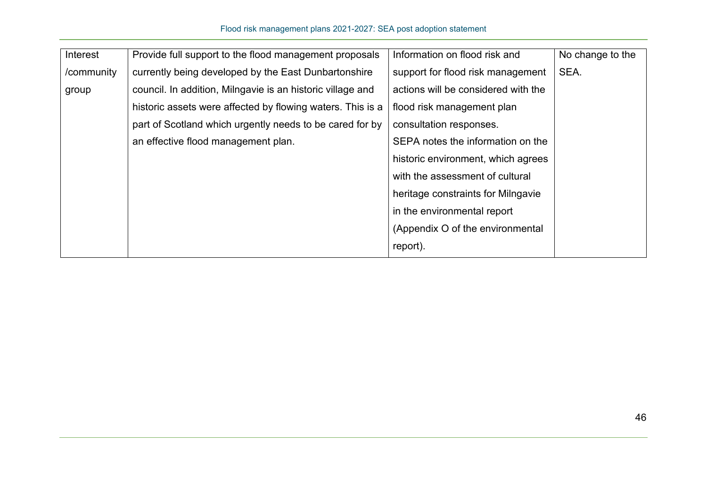| Interest   | Provide full support to the flood management proposals     | Information on flood risk and       | No change to the |
|------------|------------------------------------------------------------|-------------------------------------|------------------|
| /community | currently being developed by the East Dunbartonshire       | support for flood risk management   | SEA.             |
| group      | council. In addition, Milngavie is an historic village and | actions will be considered with the |                  |
|            | historic assets were affected by flowing waters. This is a | flood risk management plan          |                  |
|            | part of Scotland which urgently needs to be cared for by   | consultation responses.             |                  |
|            | an effective flood management plan.                        | SEPA notes the information on the   |                  |
|            |                                                            | historic environment, which agrees  |                  |
|            |                                                            | with the assessment of cultural     |                  |
|            |                                                            | heritage constraints for Milngavie  |                  |
|            |                                                            | in the environmental report         |                  |
|            |                                                            | (Appendix O of the environmental    |                  |
|            |                                                            | report).                            |                  |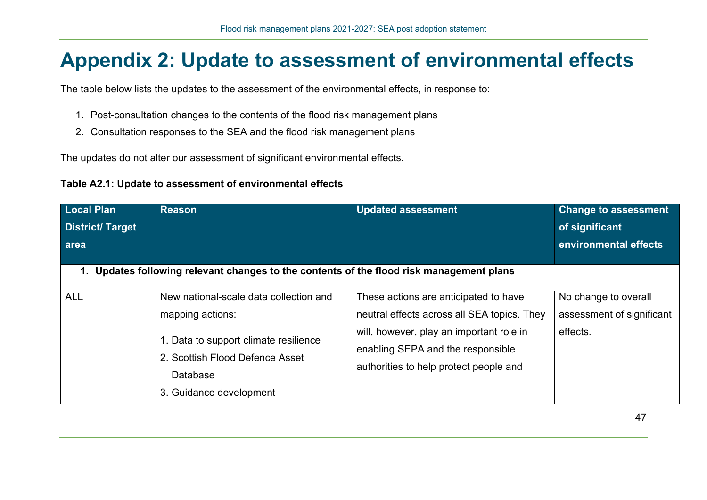## **Appendix 2: Update to assessment of environmental effects**

The table below lists the updates to the assessment of the environmental effects, in response to:

- 1. Post-consultation changes to the contents of the flood risk management plans
- 2. Consultation responses to the SEA and the flood risk management plans

The updates do not alter our assessment of significant environmental effects.

| Table A2.1: Update to assessment of environmental effects |  |
|-----------------------------------------------------------|--|
|-----------------------------------------------------------|--|

| <b>Local Plan</b>      | <b>Reason</b>                                                                                                                                                                 | <b>Updated assessment</b>                                                                                                                                                                                       | <b>Change to assessment</b>                                   |
|------------------------|-------------------------------------------------------------------------------------------------------------------------------------------------------------------------------|-----------------------------------------------------------------------------------------------------------------------------------------------------------------------------------------------------------------|---------------------------------------------------------------|
| <b>District/Target</b> |                                                                                                                                                                               |                                                                                                                                                                                                                 | of significant                                                |
| area                   |                                                                                                                                                                               |                                                                                                                                                                                                                 | environmental effects                                         |
|                        |                                                                                                                                                                               |                                                                                                                                                                                                                 |                                                               |
|                        | 1. Updates following relevant changes to the contents of the flood risk management plans                                                                                      |                                                                                                                                                                                                                 |                                                               |
| <b>ALL</b>             | New national-scale data collection and<br>mapping actions:<br>1. Data to support climate resilience<br>2. Scottish Flood Defence Asset<br>Database<br>3. Guidance development | These actions are anticipated to have<br>neutral effects across all SEA topics. They<br>will, however, play an important role in<br>enabling SEPA and the responsible<br>authorities to help protect people and | No change to overall<br>assessment of significant<br>effects. |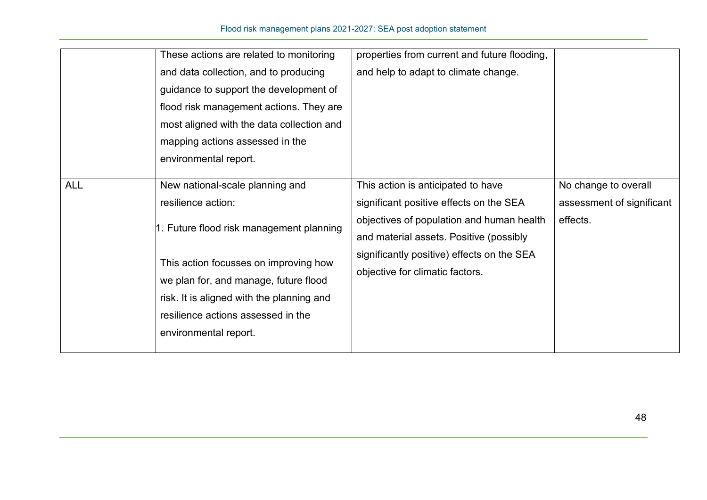|            | These actions are related to monitoring<br>and data collection, and to producing<br>guidance to support the development of<br>flood risk management actions. They are<br>most aligned with the data collection and<br>mapping actions assessed in the<br>environmental report.                  | properties from current and future flooding,<br>and help to adapt to climate change.                                                                                                                                                                   |                                                               |
|------------|-------------------------------------------------------------------------------------------------------------------------------------------------------------------------------------------------------------------------------------------------------------------------------------------------|--------------------------------------------------------------------------------------------------------------------------------------------------------------------------------------------------------------------------------------------------------|---------------------------------------------------------------|
| <b>ALL</b> | New national-scale planning and<br>resilience action:<br>1. Future flood risk management planning<br>This action focusses on improving how<br>we plan for, and manage, future flood<br>risk. It is aligned with the planning and<br>resilience actions assessed in the<br>environmental report. | This action is anticipated to have<br>significant positive effects on the SEA<br>objectives of population and human health<br>and material assets. Positive (possibly<br>significantly positive) effects on the SEA<br>objective for climatic factors. | No change to overall<br>assessment of significant<br>effects. |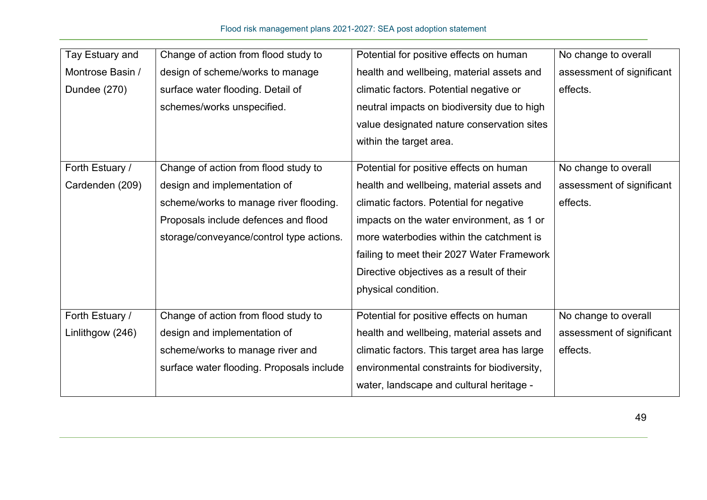| Tay Estuary and  | Change of action from flood study to      | Potential for positive effects on human      | No change to overall      |
|------------------|-------------------------------------------|----------------------------------------------|---------------------------|
| Montrose Basin / | design of scheme/works to manage          | health and wellbeing, material assets and    | assessment of significant |
| Dundee (270)     | surface water flooding. Detail of         | climatic factors. Potential negative or      | effects.                  |
|                  | schemes/works unspecified.                | neutral impacts on biodiversity due to high  |                           |
|                  |                                           | value designated nature conservation sites   |                           |
|                  |                                           | within the target area.                      |                           |
|                  |                                           |                                              |                           |
| Forth Estuary /  | Change of action from flood study to      | Potential for positive effects on human      | No change to overall      |
| Cardenden (209)  | design and implementation of              | health and wellbeing, material assets and    | assessment of significant |
|                  | scheme/works to manage river flooding.    | climatic factors. Potential for negative     | effects.                  |
|                  | Proposals include defences and flood      | impacts on the water environment, as 1 or    |                           |
|                  | storage/conveyance/control type actions.  | more waterbodies within the catchment is     |                           |
|                  |                                           | failing to meet their 2027 Water Framework   |                           |
|                  |                                           | Directive objectives as a result of their    |                           |
|                  |                                           | physical condition.                          |                           |
| Forth Estuary /  | Change of action from flood study to      | Potential for positive effects on human      | No change to overall      |
| Linlithgow (246) | design and implementation of              | health and wellbeing, material assets and    | assessment of significant |
|                  | scheme/works to manage river and          | climatic factors. This target area has large | effects.                  |
|                  | surface water flooding. Proposals include | environmental constraints for biodiversity,  |                           |
|                  |                                           |                                              |                           |
|                  |                                           | water, landscape and cultural heritage -     |                           |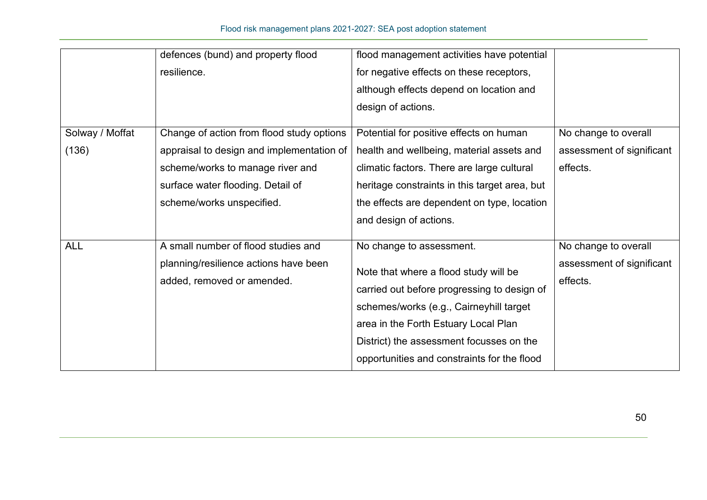|                 | defences (bund) and property flood        | flood management activities have potential    |                           |
|-----------------|-------------------------------------------|-----------------------------------------------|---------------------------|
|                 | resilience.                               | for negative effects on these receptors,      |                           |
|                 |                                           | although effects depend on location and       |                           |
|                 |                                           | design of actions.                            |                           |
| Solway / Moffat | Change of action from flood study options | Potential for positive effects on human       | No change to overall      |
| (136)           | appraisal to design and implementation of | health and wellbeing, material assets and     | assessment of significant |
|                 | scheme/works to manage river and          | climatic factors. There are large cultural    | effects.                  |
|                 | surface water flooding. Detail of         | heritage constraints in this target area, but |                           |
|                 | scheme/works unspecified.                 | the effects are dependent on type, location   |                           |
|                 |                                           | and design of actions.                        |                           |
| <b>ALL</b>      | A small number of flood studies and       | No change to assessment.                      | No change to overall      |
|                 | planning/resilience actions have been     |                                               | assessment of significant |
|                 | added, removed or amended.                | Note that where a flood study will be         | effects.                  |
|                 |                                           | carried out before progressing to design of   |                           |
|                 |                                           | schemes/works (e.g., Cairneyhill target       |                           |
|                 |                                           | area in the Forth Estuary Local Plan          |                           |
|                 |                                           | District) the assessment focusses on the      |                           |
|                 |                                           | opportunities and constraints for the flood   |                           |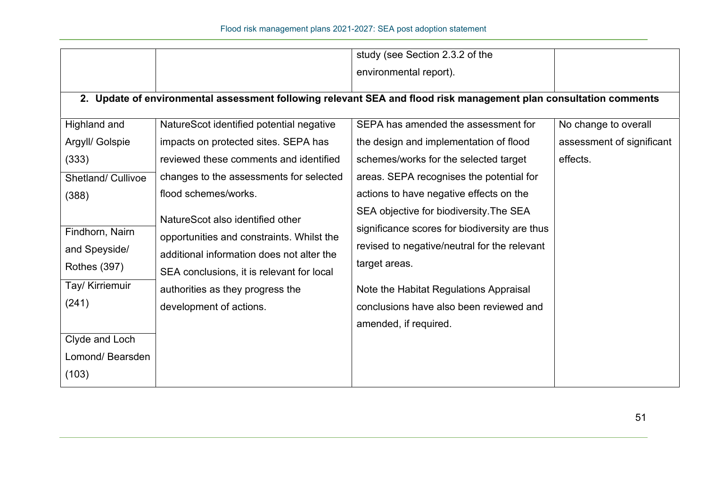|                                                                                     |                                                                                                                                                                                                                                        | study (see Section 2.3.2 of the                                                                                                                                                                                                                                         |                           |
|-------------------------------------------------------------------------------------|----------------------------------------------------------------------------------------------------------------------------------------------------------------------------------------------------------------------------------------|-------------------------------------------------------------------------------------------------------------------------------------------------------------------------------------------------------------------------------------------------------------------------|---------------------------|
|                                                                                     |                                                                                                                                                                                                                                        | environmental report).                                                                                                                                                                                                                                                  |                           |
|                                                                                     |                                                                                                                                                                                                                                        | 2. Update of environmental assessment following relevant SEA and flood risk management plan consultation comments                                                                                                                                                       |                           |
| Highland and                                                                        | NatureScot identified potential negative                                                                                                                                                                                               | SEPA has amended the assessment for                                                                                                                                                                                                                                     | No change to overall      |
| Argyll/ Golspie                                                                     | impacts on protected sites. SEPA has                                                                                                                                                                                                   | the design and implementation of flood                                                                                                                                                                                                                                  | assessment of significant |
| (333)                                                                               | reviewed these comments and identified                                                                                                                                                                                                 | schemes/works for the selected target                                                                                                                                                                                                                                   | effects.                  |
| Shetland/ Cullivoe                                                                  | changes to the assessments for selected                                                                                                                                                                                                | areas. SEPA recognises the potential for                                                                                                                                                                                                                                |                           |
| (388)                                                                               | flood schemes/works.                                                                                                                                                                                                                   | actions to have negative effects on the                                                                                                                                                                                                                                 |                           |
| Findhorn, Nairn<br>and Speyside/<br><b>Rothes (397)</b><br>Tay/ Kirriemuir<br>(241) | NatureScot also identified other<br>opportunities and constraints. Whilst the<br>additional information does not alter the<br>SEA conclusions, it is relevant for local<br>authorities as they progress the<br>development of actions. | SEA objective for biodiversity. The SEA<br>significance scores for biodiversity are thus<br>revised to negative/neutral for the relevant<br>target areas.<br>Note the Habitat Regulations Appraisal<br>conclusions have also been reviewed and<br>amended, if required. |                           |
| Clyde and Loch<br>Lomond/Bearsden                                                   |                                                                                                                                                                                                                                        |                                                                                                                                                                                                                                                                         |                           |
| (103)                                                                               |                                                                                                                                                                                                                                        |                                                                                                                                                                                                                                                                         |                           |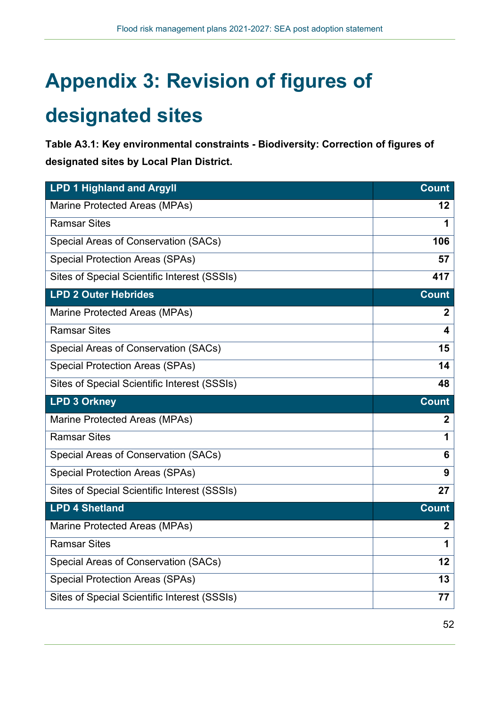# **Appendix 3: Revision of figures of**

## **designated sites**

**Table A3.1: Key environmental constraints - Biodiversity: Correction of figures of designated sites by Local Plan District.** 

| <b>LPD 1 Highland and Argyll</b>             | <b>Count</b>            |
|----------------------------------------------|-------------------------|
| Marine Protected Areas (MPAs)                | $12 \,$                 |
| <b>Ramsar Sites</b>                          | 1                       |
| Special Areas of Conservation (SACs)         | 106                     |
| <b>Special Protection Areas (SPAs)</b>       | 57                      |
| Sites of Special Scientific Interest (SSSIs) | 417                     |
| <b>LPD 2 Outer Hebrides</b>                  | <b>Count</b>            |
| Marine Protected Areas (MPAs)                | $\mathbf{2}$            |
| <b>Ramsar Sites</b>                          | $\overline{\mathbf{4}}$ |
| Special Areas of Conservation (SACs)         | 15                      |
| <b>Special Protection Areas (SPAs)</b>       | 14                      |
| Sites of Special Scientific Interest (SSSIs) | 48                      |
| <b>LPD 3 Orkney</b>                          | <b>Count</b>            |
| Marine Protected Areas (MPAs)                | $\mathbf{2}$            |
| <b>Ramsar Sites</b>                          | 1                       |
| Special Areas of Conservation (SACs)         | 6                       |
| <b>Special Protection Areas (SPAs)</b>       | 9                       |
| Sites of Special Scientific Interest (SSSIs) | 27                      |
| <b>LPD 4 Shetland</b>                        | <b>Count</b>            |
| Marine Protected Areas (MPAs)                | $\mathbf{2}$            |
| <b>Ramsar Sites</b>                          | 1                       |
| Special Areas of Conservation (SACs)         | 12                      |
| <b>Special Protection Areas (SPAs)</b>       | 13                      |
| Sites of Special Scientific Interest (SSSIs) | 77                      |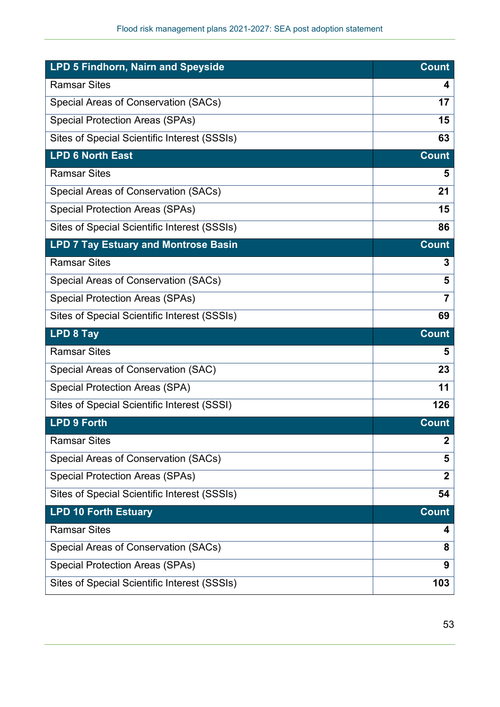| LPD 5 Findhorn, Nairn and Speyside           | <b>Count</b> |
|----------------------------------------------|--------------|
| <b>Ramsar Sites</b>                          | 4            |
| Special Areas of Conservation (SACs)         | 17           |
| <b>Special Protection Areas (SPAs)</b>       | 15           |
| Sites of Special Scientific Interest (SSSIs) | 63           |
| <b>LPD 6 North East</b>                      | <b>Count</b> |
| <b>Ramsar Sites</b>                          | 5            |
| Special Areas of Conservation (SACs)         | 21           |
| <b>Special Protection Areas (SPAs)</b>       | 15           |
| Sites of Special Scientific Interest (SSSIs) | 86           |
| <b>LPD 7 Tay Estuary and Montrose Basin</b>  | <b>Count</b> |
| <b>Ramsar Sites</b>                          | 3            |
| Special Areas of Conservation (SACs)         | 5            |
| <b>Special Protection Areas (SPAs)</b>       | 7            |
|                                              |              |
| Sites of Special Scientific Interest (SSSIs) | 69           |
| <b>LPD 8 Tay</b>                             | <b>Count</b> |
| <b>Ramsar Sites</b>                          | 5            |
| Special Areas of Conservation (SAC)          | 23           |
| <b>Special Protection Areas (SPA)</b>        | 11           |
| Sites of Special Scientific Interest (SSSI)  | 126          |
| <b>LPD 9 Forth</b>                           | <b>Count</b> |
| <b>Ramsar Sites</b>                          | $\mathbf 2$  |
| Special Areas of Conservation (SACs)         | 5            |
| <b>Special Protection Areas (SPAs)</b>       | $\mathbf 2$  |
| Sites of Special Scientific Interest (SSSIs) | 54           |
| <b>LPD 10 Forth Estuary</b>                  | <b>Count</b> |
| <b>Ramsar Sites</b>                          | 4            |
| Special Areas of Conservation (SACs)         | 8            |
| <b>Special Protection Areas (SPAs)</b>       | 9            |